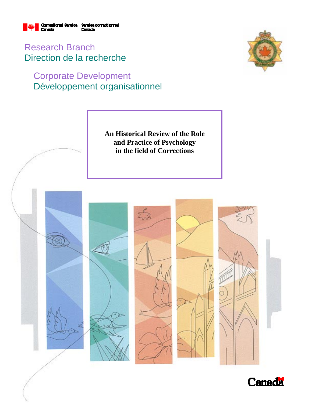

Research Branch Direction de la recherche

# Corporate Development Développement organisationnel





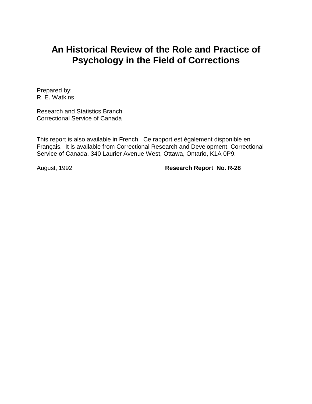# **An Historical Review of the Role and Practice of Psychology in the Field of Corrections**

Prepared by: R. E. Watkins

Research and Statistics Branch Correctional Service of Canada

This report is also available in French. Ce rapport est également disponible en Français. It is available from Correctional Research and Development, Correctional Service of Canada, 340 Laurier Avenue West, Ottawa, Ontario, K1A 0P9.

August, 1992 **Research Report No. R-28**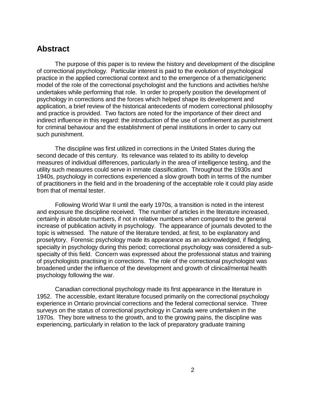### **Abstract**

The purpose of this paper is to review the history and development of the discipline of correctional psychology. Particular interest is paid to the evolution of psychological practice in the applied correctional context and to the emergence of a thematic/generic model of the role of the correctional psychologist and the functions and activities he/she undertakes while performing that role. In order to properly position the development of psychology in corrections and the forces which helped shape its development and application, a brief review of the historical antecedents of modern correctional philosophy and practice is provided. Two factors are noted for the importance of their direct and indirect influence in this regard: the introduction of the use of confinement as punishment for criminal behaviour and the establishment of penal institutions in order to carry out such punishment.

The discipline was first utilized in corrections in the United States during the second decade of this century. Its relevance was related to its ability to develop measures of individual differences, particularly in the area of intelligence testing, and the utility such measures could serve in inmate classification. Throughout the 1930s and 1940s, psychology in corrections experienced a slow growth both in terms of the number of practitioners in the field and in the broadening of the acceptable role it could play aside from that of mental tester.

Following World War II until the early 1970s, a transition is noted in the interest and exposure the discipline received. The number of articles in the literature increased, certainly in absolute numbers, if not in relative numbers when compared to the general increase of publication activity in psychology. The appearance of journals devoted to the topic is witnessed. The nature of the literature tended, at first, to be explanatory and proselytory. Forensic psychology made its appearance as an acknowledged, if fledgling, specialty in psychology during this period; correctional psychology was considered a subspecialty of this field. Concern was expressed about the professional status and training of psychologists practising in corrections. The role of the correctional psychologist was broadened under the influence of the development and growth of clinical/mental health psychology following the war.

Canadian correctional psychology made its first appearance in the literature in 1952. The accessible, extant literature focused primarily on the correctional psychology experience in Ontario provincial corrections and the federal correctional service. Three surveys on the status of correctional psychology in Canada were undertaken in the 1970s. They bore witness to the growth, and to the growing pains, the discipline was experiencing, particularly in relation to the lack of preparatory graduate training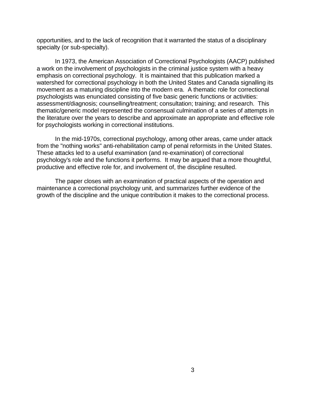opportunities, and to the lack of recognition that it warranted the status of a disciplinary specialty (or sub-specialty).

In 1973, the American Association of Correctional Psychologists (AACP) published a work on the involvement of psychologists in the criminal justice system with a heavy emphasis on correctional psychology. It is maintained that this publication marked a watershed for correctional psychology in both the United States and Canada signalling its movement as a maturing discipline into the modern era. A thematic role for correctional psychologists was enunciated consisting of five basic generic functions or activities: assessment/diagnosis; counselling/treatment; consultation; training; and research. This thematic/generic model represented the consensual culmination of a series of attempts in the literature over the years to describe and approximate an appropriate and effective role for psychologists working in correctional institutions.

In the mid-1970s, correctional psychology, among other areas, came under attack from the "nothing works" anti-rehabilitation camp of penal reformists in the United States. These attacks led to a useful examination (and re-examination) of correctional psychology's role and the functions it performs. It may be argued that a more thoughtful, productive and effective role for, and involvement of, the discipline resulted.

The paper closes with an examination of practical aspects of the operation and maintenance a correctional psychology unit, and summarizes further evidence of the growth of the discipline and the unique contribution it makes to the correctional process.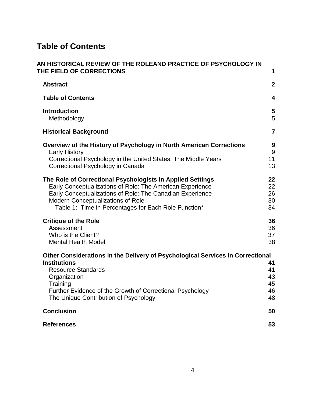# **Table of Contents**

| AN HISTORICAL REVIEW OF THE ROLEAND PRACTICE OF PSYCHOLOGY IN<br>THE FIELD OF CORRECTIONS                                                                                                                                                                                                | 1                                |
|------------------------------------------------------------------------------------------------------------------------------------------------------------------------------------------------------------------------------------------------------------------------------------------|----------------------------------|
| <b>Abstract</b>                                                                                                                                                                                                                                                                          | $\boldsymbol{2}$                 |
| <b>Table of Contents</b>                                                                                                                                                                                                                                                                 | $\overline{\mathbf{4}}$          |
| <b>Introduction</b><br>Methodology                                                                                                                                                                                                                                                       | 5<br>5                           |
| <b>Historical Background</b>                                                                                                                                                                                                                                                             | $\overline{7}$                   |
| Overview of the History of Psychology in North American Corrections<br><b>Early History</b><br>Correctional Psychology in the United States: The Middle Years<br>Correctional Psychology in Canada                                                                                       | 9<br>9<br>11<br>13               |
| The Role of Correctional Psychologists in Applied Settings<br>Early Conceptualizations of Role: The American Experience<br>Early Conceptualizations of Role: The Canadian Experience<br><b>Modern Conceptualizations of Role</b><br>Table 1: Time in Percentages for Each Role Function* | 22<br>22<br>26<br>30<br>34       |
| <b>Critique of the Role</b><br>Assessment<br>Who is the Client?<br><b>Mental Health Model</b>                                                                                                                                                                                            | 36<br>36<br>37<br>38             |
| Other Considerations in the Delivery of Psychological Services in Correctional                                                                                                                                                                                                           |                                  |
| <b>Institutions</b><br><b>Resource Standards</b><br>Organization<br>Training<br>Further Evidence of the Growth of Correctional Psychology<br>The Unique Contribution of Psychology                                                                                                       | 41<br>41<br>43<br>45<br>46<br>48 |
| <b>Conclusion</b>                                                                                                                                                                                                                                                                        | 50                               |
| <b>References</b>                                                                                                                                                                                                                                                                        | 53                               |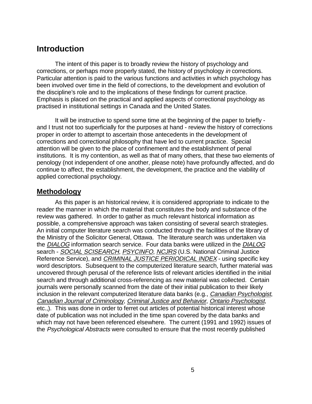## **Introduction**

The intent of this paper is to broadly review the history of psychology and corrections, or perhaps more properly stated, the history of psychology in corrections. Particular attention is paid to the various functions and activities in which psychology has been involved over time in the field of corrections, to the development and evolution of the discipline's role and to the implications of these findings for current practice. Emphasis is placed on the practical and applied aspects of correctional psychology as practised in institutional settings in Canada and the United States.

It will be instructive to spend some time at the beginning of the paper to briefly and I trust not too superficially for the purposes at hand - review the history of corrections proper in order to attempt to ascertain those antecedents in the development of corrections and correctional philosophy that have led to current practice. Special attention will be given to the place of confinement and the establishment of penal institutions. It is my contention, as well as that of many others, that these two elements of penology (not independent of one another, please note) have profoundly affected, and do continue to affect, the establishment, the development, the practice and the viability of applied correctional psychology.

#### **Methodology**

As this paper is an historical review, it is considered appropriate to indicate to the reader the manner in which the material that constitutes the body and substance of the review was gathered. In order to gather as much relevant historical information as possible, a comprehensive approach was taken consisting of several search strategies. An initial computer literature search was conducted through the facilities of the library of the Ministry of the Solicitor General, Ottawa. The literature search was undertaken via the DIALOG information search service. Four data banks were utilized in the DIALOG search - SOCIAL SCISEARCH, PSYCINFO, NCJRS (U.S. National Criminal Justice Reference Service), and CRIMINAL JUSTICE PERIODICAL INDEX - using specific key word descriptors. Subsequent to the computerized literature search, further material was uncovered through perusal of the reference lists of relevant articles identified in the initial search and through additional cross-referencing as new material was collected. Certain journals were personally scanned from the date of their initial publication to their likely inclusion in the relevant computerized literature data banks (e.g., Canadian Psychologist, Canadian Journal of Criminology, Criminal Justice and Behavior, Ontario Psychologist, etc.,). This was done in order to ferret out articles of potential historical interest whose date of publication was not included in the time span covered by the data banks and which may not have been referenced elsewhere. The current (1991 and 1992) issues of the Psychological Abstracts were consulted to ensure that the most recently published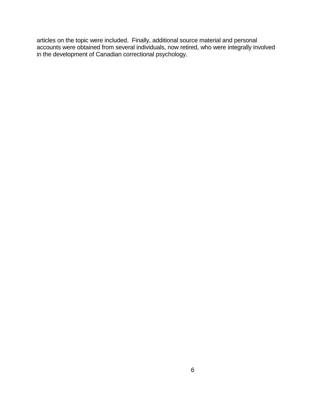articles on the topic were included. Finally, additional source material and personal accounts were obtained from several individuals, now retired, who were integrally involved in the development of Canadian correctional psychology.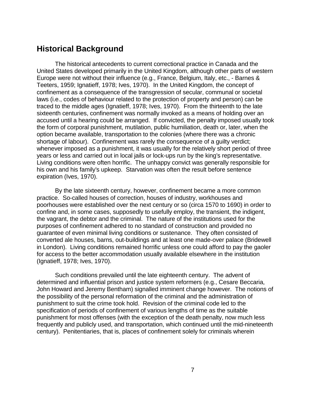# **Historical Background**

The historical antecedents to current correctional practice in Canada and the United States developed primarily in the United Kingdom, although other parts of western Europe were not without their influence (e.g., France, Belgium, Italy, etc., - Barnes & Teeters, 1959; Ignatieff, 1978; Ives, 1970). In the United Kingdom, the concept of confinement as a consequence of the transgression of secular, communal or societal laws (i.e., codes of behaviour related to the protection of property and person) can be traced to the middle ages (Ignatieff, 1978; Ives, 1970). From the thirteenth to the late sixteenth centuries, confinement was normally invoked as a means of holding over an accused until a hearing could be arranged. If convicted, the penalty imposed usually took the form of corporal punishment, mutilation, public humiliation, death or, later, when the option became available, transportation to the colonies (where there was a chronic shortage of labour). Confinement was rarely the consequence of a guilty verdict; whenever imposed as a punishment, it was usually for the relatively short period of three years or less and carried out in local jails or lock-ups run by the king's representative. Living conditions were often horrific. The unhappy convict was generally responsible for his own and his family's upkeep. Starvation was often the result before sentence expiration (Ives, 1970).

By the late sixteenth century, however, confinement became a more common practice. So-called houses of correction, houses of industry, workhouses and poorhouses were established over the next century or so (circa 1570 to 1690) in order to confine and, in some cases, supposedly to usefully employ, the transient, the indigent, the vagrant, the debtor and the criminal. The nature of the institutions used for the purposes of confinement adhered to no standard of construction and provided no guarantee of even minimal living conditions or sustenance. They often consisted of converted ale houses, barns, out-buildings and at least one made-over palace (Bridewell in London). Living conditions remained horrific unless one could afford to pay the gaoler for access to the better accommodation usually available elsewhere in the institution (Ignatieff, 1978; Ives, 1970).

Such conditions prevailed until the late eighteenth century. The advent of determined and influential prison and justice system reformers (e.g., Cesare Beccaria, John Howard and Jeremy Bentham) signalled imminent change however. The notions of the possibility of the personal reformation of the criminal and the administration of punishment to suit the crime took hold. Revision of the criminal code led to the specification of periods of confinement of various lengths of time as the suitable punishment for most offenses (with the exception of the death penalty, now much less frequently and publicly used, and transportation, which continued until the mid-nineteenth century). Penitentiaries, that is, places of confinement solely for criminals wherein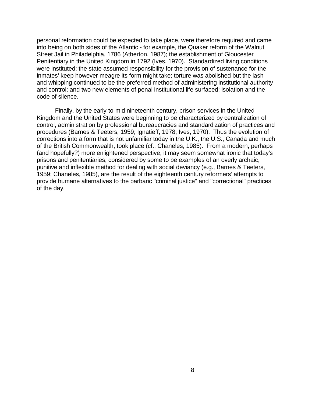personal reformation could be expected to take place, were therefore required and came into being on both sides of the Atlantic - for example, the Quaker reform of the Walnut Street Jail in Philadelphia, 1786 (Atherton, 1987); the establishment of Gloucester Penitentiary in the United Kingdom in 1792 (Ives, 1970). Standardized living conditions were instituted; the state assumed responsibility for the provision of sustenance for the inmates' keep however meagre its form might take; torture was abolished but the lash and whipping continued to be the preferred method of administering institutional authority and control; and two new elements of penal institutional life surfaced: isolation and the code of silence.

Finally, by the early-to-mid nineteenth century, prison services in the United Kingdom and the United States were beginning to be characterized by centralization of control, administration by professional bureaucracies and standardization of practices and procedures (Barnes & Teeters, 1959; Ignatieff, 1978; Ives, 1970). Thus the evolution of corrections into a form that is not unfamiliar today in the U.K., the U.S., Canada and much of the British Commonwealth, took place (cf., Chaneles, 1985). From a modern, perhaps (and hopefully?) more enlightened perspective, it may seem somewhat ironic that today's prisons and penitentiaries, considered by some to be examples of an overly archaic, punitive and inflexible method for dealing with social deviancy (e.g., Barnes & Teeters, 1959; Chaneles, 1985), are the result of the eighteenth century reformers' attempts to provide humane alternatives to the barbaric "criminal justice" and "correctional" practices of the day.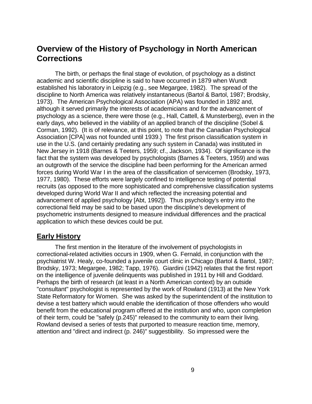# **Overview of the History of Psychology in North American Corrections**

The birth, or perhaps the final stage of evolution, of psychology as a distinct academic and scientific discipline is said to have occurred in 1879 when Wundt established his laboratory in Leipzig (e.g., see Megargee, 1982). The spread of the discipline to North America was relatively instantaneous (Bartol & Bartol, 1987; Brodsky, 1973). The American Psychological Association (APA) was founded in 1892 and, although it served primarily the interests of academicians and for the advancement of psychology as a science, there were those (e.g., Hall, Cattell, & Munsterberg), even in the early days, who believed in the viability of an applied branch of the discipline (Sobel & Corman, 1992). (It is of relevance, at this point, to note that the Canadian Psychological Association [CPA] was not founded until 1939.) The first prison classification system in use in the U.S. (and certainly predating any such system in Canada) was instituted in New Jersey in 1918 (Barnes & Teeters, 1959; cf., Jackson, 1934). Of significance is the fact that the system was developed by psychologists (Barnes & Teeters, 1959) and was an outgrowth of the service the discipline had been performing for the American armed forces during World War I in the area of the classification of servicemen (Brodsky, 1973, 1977, 1980). These efforts were largely confined to intelligence testing of potential recruits (as opposed to the more sophisticated and comprehensive classification systems developed during World War II and which reflected the increasing potential and advancement of applied psychology [Abt, 1992]). Thus psychology's entry into the correctional field may be said to be based upon the discipline's development of psychometric instruments designed to measure individual differences and the practical application to which these devices could be put.

#### **Early History**

The first mention in the literature of the involvement of psychologists in correctional-related activities occurs in 1909, when G. Fernald, in conjunction with the psychiatrist W. Healy, co-founded a juvenile court clinic in Chicago (Bartol & Bartol, 1987; Brodsky, 1973; Megargee, 1982; Tapp, 1976). Giardini (1942) relates that the first report on the intelligence of juvenile delinquents was published in 1911 by Hill and Goddard. Perhaps the birth of research (at least in a North American context) by an outside "consultant" psychologist is represented by the work of Rowland (1913) at the New York State Reformatory for Women. She was asked by the superintendent of the institution to devise a test battery which would enable the identification of those offenders who would benefit from the educational program offered at the institution and who, upon completion of their term, could be "safely (p.245)" released to the community to earn their living. Rowland devised a series of tests that purported to measure reaction time, memory, attention and "direct and indirect (p. 246)" suggestibility. So impressed were the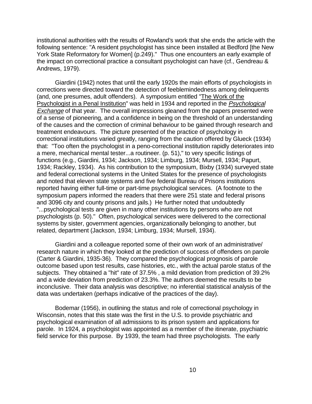institutional authorities with the results of Rowland's work that she ends the article with the following sentence: "A resident psychologist has since been installed at Bedford [the New York State Reformatory for Women] (p.249)." Thus one encounters an early example of the impact on correctional practice a consultant psychologist can have (cf., Gendreau & Andrews, 1979).

Giardini (1942) notes that until the early 1920s the main efforts of psychologists in corrections were directed toward the detection of feeblemindedness among delinquents (and, one presumes, adult offenders). A symposium entitled "The Work of the Psychologist in a Penal Institution" was held in 1934 and reported in the Psychological Exchange of that year. The overall impressions gleaned from the papers presented were of a sense of pioneering, and a confidence in being on the threshold of an understanding of the causes and the correction of criminal behaviour to be gained through research and treatment endeavours. The picture presented of the practice of psychology in correctional institutions varied greatly, ranging from the caution offered by Glueck (1934) that: "Too often the psychologist in a peno-correctional institution rapidly deteriorates into a mere, mechanical mental tester...a routineer. (p. 51)," to very specific listings of functions (e.g., Giardini, 1934; Jackson, 1934; Limburg, 1934; Mursell, 1934; Papurt, 1934; Rackley, 1934). As his contribution to the symposium, Bixby (1934) surveyed state and federal correctional systems in the United States for the presence of psychologists and noted that eleven state systems and five federal Bureau of Prisons institutions reported having either full-time or part-time psychological services. (A footnote to the symposium papers informed the readers that there were 251 state and federal prisons and 3096 city and county prisons and jails.) He further noted that undoubtedly "...psychological tests are given in many other institutions by persons who are not psychologists (p. 50)." Often, psychological services were delivered to the correctional systems by sister, government agencies, organizationally belonging to another, but related, department (Jackson, 1934; Limburg, 1934; Mursell, 1934).

Giardini and a colleague reported some of their own work of an administrative/ research nature in which they looked at the prediction of success of offenders on parole (Carter & Giardini, 1935-36). They compared the psychological prognosis of parole outcome based upon test results, case histories, etc., with the actual parole status of the subjects. They obtained a "hit" rate of 37.5% , a mild deviation from prediction of 39.2% and a wide deviation from prediction of 23.3%. The authors deemed the results to be inconclusive. Their data analysis was descriptive; no inferential statistical analysis of the data was undertaken (perhaps indicative of the practices of the day).

Bodemar (1956), in outlining the status and role of correctional psychology in Wisconsin, notes that this state was the first in the U.S. to provide psychiatric and psychological examination of all admissions to its prison system and applications for parole. In 1924, a psychologist was appointed as a member of the itinerate, psychiatric field service for this purpose. By 1939, the team had three psychologists. The early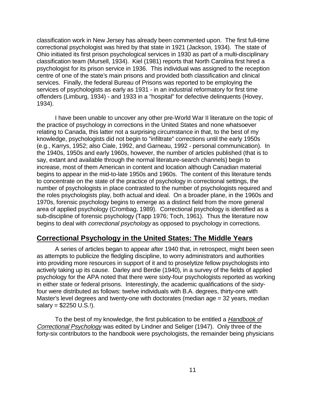classification work in New Jersey has already been commented upon. The first full-time correctional psychologist was hired by that state in 1921 (Jackson, 1934). The state of Ohio initiated its first prison psychological services in 1930 as part of a multi-disciplinary classification team (Mursell, 1934). Kiel (1981) reports that North Carolina first hired a psychologist for its prison service in 1936. This individual was assigned to the reception centre of one of the state's main prisons and provided both classification and clinical services. Finally, the federal Bureau of Prisons was reported to be employing the services of psychologists as early as 1931 - in an industrial reformatory for first time offenders (Limburg, 1934) - and 1933 in a "hospital" for defective delinquents (Hovey, 1934).

I have been unable to uncover any other pre-World War II literature on the topic of the practice of psychology in corrections in the United States and none whatsoever relating to Canada, this latter not a surprising circumstance in that, to the best of my knowledge, psychologists did not begin to "infiltrate" corrections until the early 1950s (e.g., Karrys, 1952; also Ciale, 1992, and Garneau, 1992 - personal communication). In the 1940s, 1950s and early 1960s, however, the number of articles published (that is to say, extant and available through the normal literature-search channels) begin to increase, most of them American in content and location although Canadian material begins to appear in the mid-to-late 1950s and 1960s. The content of this literature tends to concentrate on the state of the practice of psychology in correctional settings, the number of psychologists in place contrasted to the number of psychologists required and the roles psychologists play, both actual and ideal. On a broader plane, in the 1960s and 1970s, forensic psychology begins to emerge as a distinct field from the more general area of applied psychology (Crombag, 1989). Correctional psychology is identified as a sub-discipline of forensic psychology (Tapp 1976; Toch, 1961). Thus the literature now begins to deal with correctional psychology as opposed to psychology in corrections.

### **Correctional Psychology in the United States: The Middle Years**

A series of articles began to appear after 1940 that, in retrospect, might been seen as attempts to publicize the fledgling discipline, to worry administrators and authorities into providing more resources in support of it and to proselytize fellow psychologists into actively taking up its cause. Darley and Berdie (1940), in a survey of the fields of applied psychology for the APA noted that there were sixty-four psychologists reported as working in either state or federal prisons. Interestingly, the academic qualifications of the sixtyfour were distributed as follows: twelve individuals with B.A. degrees, thirty-one with Master's level degrees and twenty-one with doctorates (median age = 32 years, median  $salary = $2250$  U.S.!).

To the best of my knowledge, the first publication to be entitled a *Handbook of* Correctional Psychology was edited by Lindner and Seliger (1947). Only three of the forty-six contributors to the handbook were psychologists, the remainder being physicians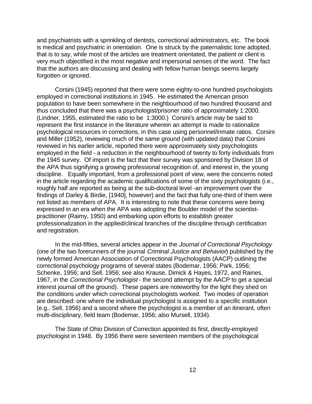and psychiatrists with a sprinkling of dentists, correctional administrators, etc. The book is medical and psychiatric in orientation. One is struck by the paternalistic tone adopted, that is to say, while most of the articles are treatment orientated, the patient or client is very much objectified in the most negative and impersonal senses of the word. The fact that the authors are discussing and dealing with fellow human beings seems largely forgotten or ignored.

Corsini (1945) reported that there were some eighty-to-one hundred psychologists employed in correctional institutions in 1945. He estimated the American prison population to have been somewhere in the neighbourhood of two hundred thousand and thus concluded that there was a psychologist/prisoner ratio of approximately 1:2000. (Lindner, 1955, estimated the ratio to be 1:3000.) Corsini's article may be said to represent the first instance in the literature wherein an attempt is made to rationalize psychological resources in corrections, in this case using personnel/inmate ratios. Corsini and Miller (1952), reviewing much of the same ground (with updated data) that Corsini reviewed in his earlier article, reported there were approximately sixty psychologists employed in the field - a reduction in the neighbourhood of twenty to forty individuals from the 1945 survey. Of import is the fact that their survey was sponsored by Division 18 of the APA thus signifying a growing professional recognition of, and interest in, the young discipline. Equally important, from a professional point of view, were the concerns noted in the article regarding the academic qualifications of some of the sixty psychologists (i.e., roughly half are reported as being at the sub-doctoral level -an improvement over the findings of Darley & Birdie, [1940], however) and the fact that fully one-third of them were not listed as members of APA. It is interesting to note that these concerns were being expressed in an era when the APA was adopting the Boulder model of the scientistpractitioner (Raimy, 1950) and embarking upon efforts to establish greater professionalization in the applied/clinical branches of the discipline through certification and registration.

In the mid-fifties, several articles appear in the Journal of Correctional Psychology (one of the two forerunners of the journal Criminal Justice and Behavior) published by the newly formed American Association of Correctional Psychologists (AACP) outlining the correctional psychology programs of several states (Bodemar, 1956; Park, 1956; Schenke, 1956; and Sell, 1956; see also Krause, Dimick & Hayes, 1972, and Raines, 1967, in the Correctional Psychologist - the second attempt by the AACP to get a special interest journal off the ground). These papers are noteworthy for the light they shed on the conditions under which correctional psychologists worked. Two modes of operation are described: one where the individual psychologist is assigned to a specific institution (e.g., Sell, 1956) and a second where the psychologist is a member of an itinerant, often multi-disciplinary, field team (Bodemar, 1956; also Mursell, 1934).

The State of Ohio Division of Correction appointed its first, directly-employed psychologist in 1948. By 1956 there were seventeen members of the psychological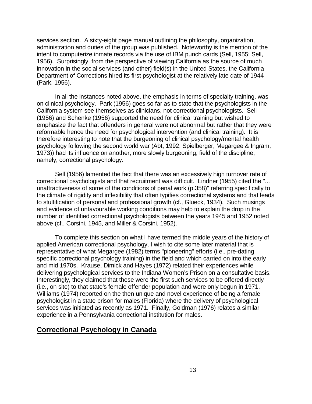services section. A sixty-eight page manual outlining the philosophy, organization, administration and duties of the group was published. Noteworthy is the mention of the intent to computerize inmate records via the use of IBM punch cards (Sell, 1955; Sell, 1956). Surprisingly, from the perspective of viewing California as the source of much innovation in the social services (and other) field(s) in the United States, the California Department of Corrections hired its first psychologist at the relatively late date of 1944 (Park, 1956).

In all the instances noted above, the emphasis in terms of specialty training, was on clinical psychology. Park (1956) goes so far as to state that the psychologists in the California system see themselves as clinicians, not correctional psychologists. Sell (1956) and Schenke (1956) supported the need for clinical training but wished to emphasize the fact that offenders in general were not abnormal but rather that they were reformable hence the need for psychological intervention (and clinical training). It is therefore interesting to note that the burgeoning of clinical psychology/mental health psychology following the second world war (Abt, 1992; Spielberger, Megargee & Ingram, 1973)) had its influence on another, more slowly burgeoning, field of the discipline, namely, correctional psychology.

Sell (1956) lamented the fact that there was an excessively high turnover rate of correctional psychologists and that recruitment was difficult. Lindner (1955) cited the "... unattractiveness of some of the conditions of penal work (p.358)" referring specifically to the climate of rigidity and inflexibility that often typifies correctional systems and that leads to stultification of personal and professional growth (cf., Glueck, 1934). Such musings and evidence of unfavourable working conditions may help to explain the drop in the number of identified correctional psychologists between the years 1945 and 1952 noted above (cf., Corsini, 1945, and Miller & Corsini, 1952).

To complete this section on what I have termed the middle years of the history of applied American correctional psychology, I wish to cite some later material that is representative of what Megargee (1982) terms "pioneering" efforts (i.e., pre-dating specific correctional psychology training) in the field and which carried on into the early and mid 1970s. Krause, Dimick and Hayes (1972) related their experiences while delivering psychological services to the Indiana Women's Prison on a consultative basis. Interestingly, they claimed that these were the first such services to be offered directly (i.e., on site) to that state's female offender population and were only begun in 1971. Williams (1974) reported on the then unique and novel experience of being a female psychologist in a state prison for males (Florida) where the delivery of psychological services was initiated as recently as 1971. Finally, Goldman (1976) relates a similar experience in a Pennsylvania correctional institution for males.

#### **Correctional Psychology in Canada**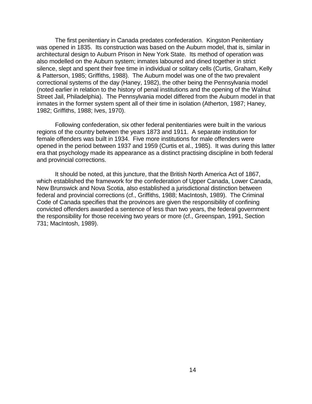The first penitentiary in Canada predates confederation. Kingston Penitentiary was opened in 1835. Its construction was based on the Auburn model, that is, similar in architectural design to Auburn Prison in New York State. Its method of operation was also modelled on the Auburn system; inmates laboured and dined together in strict silence, slept and spent their free time in individual or solitary cells (Curtis, Graham, Kelly & Patterson, 1985; Griffiths, 1988). The Auburn model was one of the two prevalent correctional systems of the day (Haney, 1982), the other being the Pennsylvania model (noted earlier in relation to the history of penal institutions and the opening of the Walnut Street Jail, Philadelphia). The Pennsylvania model differed from the Auburn model in that inmates in the former system spent all of their time in isolation (Atherton, 1987; Haney, 1982; Griffiths, 1988; Ives, 1970).

Following confederation, six other federal penitentiaries were built in the various regions of the country between the years 1873 and 1911. A separate institution for female offenders was built in 1934. Five more institutions for male offenders were opened in the period between 1937 and 1959 (Curtis et al., 1985). It was during this latter era that psychology made its appearance as a distinct practising discipline in both federal and provincial corrections.

It should be noted, at this juncture, that the British North America Act of 1867, which established the framework for the confederation of Upper Canada, Lower Canada, New Brunswick and Nova Scotia, also established a jurisdictional distinction between federal and provincial corrections (cf., Griffiths, 1988; MacIntosh, 1989). The Criminal Code of Canada specifies that the provinces are given the responsibility of confining convicted offenders awarded a sentence of less than two years, the federal government the responsibility for those receiving two years or more (cf., Greenspan, 1991, Section 731; MacIntosh, 1989).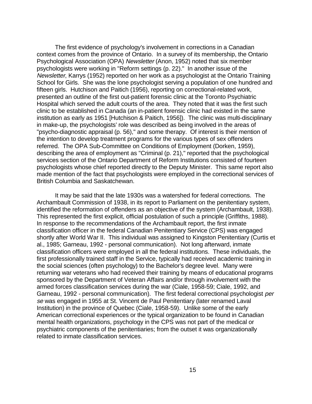The first evidence of psychology's involvement in corrections in a Canadian context comes from the province of Ontario. In a survey of its membership, the Ontario Psychological Association (OPA) Newsletter (Anon, 1952) noted that six member psychologists were working in "Reform settings (p. 22)." In another issue of the Newsletter, Karrys (1952) reported on her work as a psychologist at the Ontario Training School for Girls. She was the lone psychologist serving a population of one hundred and fifteen girls. Hutchison and Paitich (1956), reporting on correctional-related work, presented an outline of the first out-patient forensic clinic at the Toronto Psychiatric Hospital which served the adult courts of the area. They noted that it was the first such clinic to be established in Canada (an in-patient forensic clinic had existed in the same institution as early as 1951 [Hutchison & Paitich, 1956]). The clinic was multi-disciplinary in make-up, the psychologists' role was described as being involved in the areas of "psycho-diagnostic appraisal (p. 56)," and some therapy. Of interest is their mention of the intention to develop treatment programs for the various types of sex offenders referred. The OPA Sub-Committee on Conditions of Employment (Dorken, 1959), describing the area of employment as "Criminal (p. 21)," reported that the psychological services section of the Ontario Department of Reform Institutions consisted of fourteen psychologists whose chief reported directly to the Deputy Minister. This same report also made mention of the fact that psychologists were employed in the correctional services of British Columbia and Saskatchewan.

It may be said that the late 1930s was a watershed for federal corrections. The Archambault Commission of 1938, in its report to Parliament on the penitentiary system, identified the reformation of offenders as an objective of the system (Archambault, 1938). This represented the first explicit, official postulation of such a principle (Griffiths, 1988). In response to the recommendations of the Archambault report, the first inmate classification officer in the federal Canadian Penitentiary Service (CPS) was engaged shortly after World War II. This individual was assigned to Kingston Penitentiary (Curtis et al., 1985; Garneau, 1992 - personal communication). Not long afterward, inmate classification officers were employed in all the federal institutions. These individuals, the first professionally trained staff in the Service, typically had received academic training in the social sciences (often psychology) to the Bachelor's degree level. Many were returning war veterans who had received their training by means of educational programs sponsored by the Department of Veteran Affairs and/or through involvement with the armed forces classification services during the war (Ciale, 1958-59; Ciale, 1992, and Garneau, 1992 - personal communication). The first federal correctional psychologist per se was engaged in 1955 at St. Vincent de Paul Penitentiary (later renamed Laval Institution) in the province of Quebec (Ciale, 1958-59). Unlike some of the early American correctional experiences or the typical organization to be found in Canadian mental health organizations, psychology in the CPS was not part of the medical or psychiatric components of the penitentiaries; from the outset it was organizationally related to inmate classification services.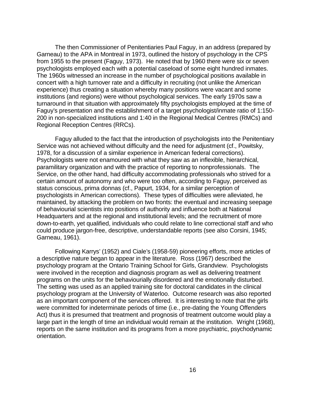The then Commissioner of Penitentiaries Paul Faguy, in an address (prepared by Garneau) to the APA in Montreal in 1973, outlined the history of psychology in the CPS from 1955 to the present (Faguy, 1973). He noted that by 1960 there were six or seven psychologists employed each with a potential caseload of some eight hundred inmates. The 1960s witnessed an increase in the number of psychological positions available in concert with a high turnover rate and a difficulty in recruiting (not unlike the American experience) thus creating a situation whereby many positions were vacant and some institutions (and regions) were without psychological services. The early 1970s saw a turnaround in that situation with approximately fifty psychologists employed at the time of Faguy's presentation and the establishment of a target psychologist/inmate ratio of 1:150- 200 in non-specialized institutions and 1:40 in the Regional Medical Centres (RMCs) and Regional Reception Centres (RRCs).

Faguy alluded to the fact that the introduction of psychologists into the Penitentiary Service was not achieved without difficulty and the need for adjustment (cf., Powitsky, 1978, for a discussion of a similar experience in American federal corrections). Psychologists were not enamoured with what they saw as an inflexible, hierarchical, paramilitary organization and with the practice of reporting to nonprofessionals. The Service, on the other hand, had difficulty accommodating professionals who strived for a certain amount of autonomy and who were too often, according to Faguy, perceived as status conscious, prima donnas (cf., Papurt, 1934, for a similar perception of psychologists in American corrections). These types of difficulties were alleviated, he maintained, by attacking the problem on two fronts: the eventual and increasing seepage of behaviourial scientists into positions of authority and influence both at National Headquarters and at the regional and institutional levels; and the recruitment of more down-to-earth, yet qualified, individuals who could relate to line correctional staff and who could produce jargon-free, descriptive, understandable reports (see also Corsini, 1945; Garneau, 1961).

Following Karrys' (1952) and Ciale's (1958-59) pioneering efforts, more articles of a descriptive nature began to appear in the literature. Ross (1967) described the psychology program at the Ontario Training School for Girls, Grandview. Psychologists were involved in the reception and diagnosis program as well as delivering treatment programs on the units for the behaviourially disordered and the emotionally disturbed. The setting was used as an applied training site for doctoral candidates in the clinical psychology program at the University of Waterloo. Outcome research was also reported as an important component of the services offered. It is interesting to note that the girls were committed for indeterminate periods of time (i.e., pre-dating the Young Offenders Act) thus it is presumed that treatment and prognosis of treatment outcome would play a large part in the length of time an individual would remain at the institution. Wright (1968), reports on the same institution and its programs from a more psychiatric, psychodynamic orientation.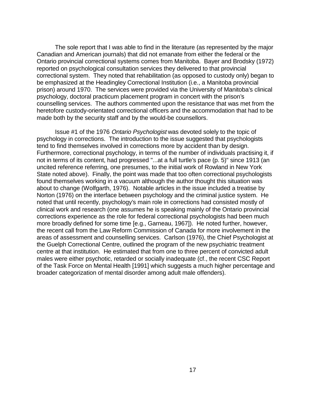The sole report that I was able to find in the literature (as represented by the major Canadian and American journals) that did not emanate from either the federal or the Ontario provincial correctional systems comes from Manitoba. Bayer and Brodsky (1972) reported on psychological consultation services they delivered to that provincial correctional system. They noted that rehabilitation (as opposed to custody only) began to be emphasized at the Headingley Correctional Institution (i.e., a Manitoba provincial prison) around 1970. The services were provided via the University of Manitoba's clinical psychology, doctoral practicum placement program in concert with the prison's counselling services. The authors commented upon the resistance that was met from the heretofore custody-orientated correctional officers and the accommodation that had to be made both by the security staff and by the would-be counsellors.

Issue #1 of the 1976 Ontario Psychologist was devoted solely to the topic of psychology in corrections. The introduction to the issue suggested that psychologists tend to find themselves involved in corrections more by accident than by design. Furthermore, correctional psychology, in terms of the number of individuals practising it, if not in terms of its content, had progressed "...at a full turtle's pace (p. 5)" since 1913 (an uncited reference referring, one presumes, to the initial work of Rowland in New York State noted above). Finally, the point was made that too often correctional psychologists found themselves working in a vacuum although the author thought this situation was about to change (Wolfgarth, 1976). Notable articles in the issue included a treatise by Norton (1976) on the interface between psychology and the criminal justice system. He noted that until recently, psychology's main role in corrections had consisted mostly of clinical work and research (one assumes he is speaking mainly of the Ontario provincial corrections experience as the role for federal correctional psychologists had been much more broadly defined for some time [e.g., Garneau, 1967]). He noted further, however, the recent call from the Law Reform Commission of Canada for more involvement in the areas of assessment and counselling services. Carlson (1976), the Chief Psychologist at the Guelph Correctional Centre, outlined the program of the new psychiatric treatment centre at that institution. He estimated that from one to three percent of convicted adult males were either psychotic, retarded or socially inadequate (cf., the recent CSC Report of the Task Force on Mental Health [1991] which suggests a much higher percentage and broader categorization of mental disorder among adult male offenders).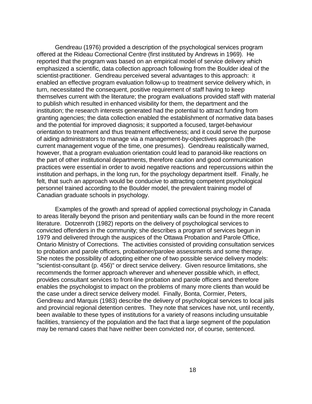Gendreau (1976) provided a description of the psychological services program offered at the Rideau Correctional Centre (first instituted by Andrews in 1969). He reported that the program was based on an empirical model of service delivery which emphasized a scientific, data collection approach following from the Boulder ideal of the scientist-practitioner. Gendreau perceived several advantages to this approach: it enabled an effective program evaluation follow-up to treatment service delivery which, in turn, necessitated the consequent, positive requirement of staff having to keep themselves current with the literature; the program evaluations provided staff with material to publish which resulted in enhanced visibility for them, the department and the institution; the research interests generated had the potential to attract funding from granting agencies; the data collection enabled the establishment of normative data bases and the potential for improved diagnosis; it supported a focused, target-behaviour orientation to treatment and thus treatment effectiveness; and it could serve the purpose of aiding administrators to manage via a management-by-objectives approach (the current management vogue of the time, one presumes). Gendreau realistically warned, however, that a program evaluation orientation could lead to paranoid-like reactions on the part of other institutional departments, therefore caution and good communication practices were essential in order to avoid negative reactions and repercussions within the institution and perhaps, in the long run, for the psychology department itself. Finally, he felt, that such an approach would be conducive to attracting competent psychological personnel trained according to the Boulder model, the prevalent training model of Canadian graduate schools in psychology.

 Examples of the growth and spread of applied correctional psychology in Canada to areas literally beyond the prison and penitentiary walls can be found in the more recent literature. Dotzenroth (1982) reports on the delivery of psychological services to convicted offenders in the community; she describes a program of services begun in 1979 and delivered through the auspices of the Ottawa Probation and Parole Office, Ontario Ministry of Corrections. The activities consisted of providing consultation services to probation and parole officers, probationer/parolee assessments and some therapy. She notes the possibility of adopting either one of two possible service delivery models: "scientist-consultant (p. 456)" or direct service delivery. Given resource limitations, she recommends the former approach wherever and whenever possible which, in effect, provides consultant services to front-line probation and parole officers and therefore enables the psychologist to impact on the problems of many more clients than would be the case under a direct service delivery model. Finally, Bonta, Cormier, Peters, Gendreau and Marquis (1983) describe the delivery of psychological services to local jails and provincial regional detention centres. They note that services have not, until recently, been available to these types of institutions for a variety of reasons including unsuitable facilities, transiency of the population and the fact that a large segment of the population may be remand cases that have neither been convicted nor, of course, sentenced.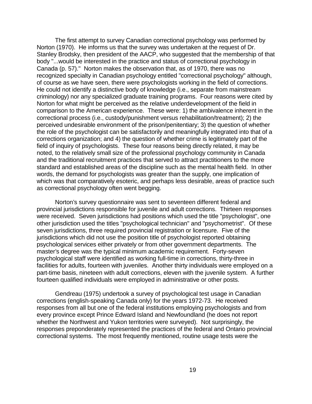The first attempt to survey Canadian correctional psychology was performed by Norton (1970). He informs us that the survey was undertaken at the request of Dr. Stanley Brodsky, then president of the AACP, who suggested that the membership of that body "...would be interested in the practice and status of correctional psychology in Canada (p. 57)." Norton makes the observation that, as of 1970, there was no recognized specialty in Canadian psychology entitled "correctional psychology" although, of course as we have seen, there were psychologists working in the field of corrections. He could not identify a distinctive body of knowledge (i.e., separate from mainstream criminology) nor any specialized graduate training programs. Four reasons were cited by Norton for what might be perceived as the relative underdevelopment of the field in comparison to the American experience. These were: 1) the ambivalence inherent in the correctional process (i.e., custody/punishment versus rehabilitation/treatment); 2) the perceived undesirable environment of the prison/penitentiary; 3) the question of whether the role of the psychologist can be satisfactorily and meaningfully integrated into that of a corrections organization; and 4) the question of whether crime is legitimately part of the field of inquiry of psychologists. These four reasons being directly related, it may be noted, to the relatively small size of the professional psychology community in Canada and the traditional recruitment practices that served to attract practitioners to the more standard and established areas of the discipline such as the mental health field. In other words, the demand for psychologists was greater than the supply, one implication of which was that comparatively esoteric, and perhaps less desirable, areas of practice such as correctional psychology often went begging.

Norton's survey questionnaire was sent to seventeen different federal and provincial jurisdictions responsible for juvenile and adult corrections. Thirteen responses were received. Seven jurisdictions had positions which used the title "psychologist", one other jurisdiction used the titles "psychological technician" and "psychometrist". Of these seven jurisdictions, three required provincial registration or licensure. Five of the jurisdictions which did not use the position title of psychologist reported obtaining psychological services either privately or from other government departments. The master's degree was the typical minimum academic requirement. Forty-seven psychological staff were identified as working full-time in corrections, thirty-three in facilities for adults, fourteen with juveniles. Another thirty individuals were employed on a part-time basis, nineteen with adult corrections, eleven with the juvenile system. A further fourteen qualified individuals were employed in administrative or other posts.

Gendreau (1975) undertook a survey of psychological test usage in Canadian corrections (english-speaking Canada only) for the years 1972-73. He received responses from all but one of the federal institutions employing psychologists and from every province except Prince Edward Island and Newfoundland (he does not report whether the Northwest and Yukon territories were surveyed). Not surprisingly, the responses preponderately represented the practices of the federal and Ontario provincial correctional systems. The most frequently mentioned, routine usage tests were the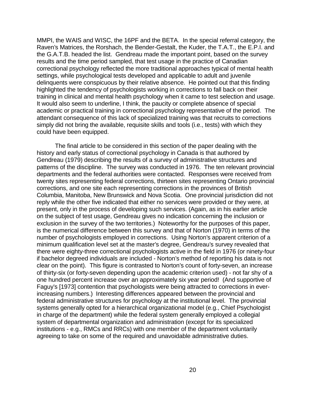MMPI, the WAIS and WISC, the 16PF and the BETA. In the special referral category, the Raven's Matrices, the Rorshach, the Bender-Gestalt, the Kuder, the T.A.T., the E.P.I. and the G.A.T.B. headed the list. Gendreau made the important point, based on the survey results and the time period sampled, that test usage in the practice of Canadian correctional psychology reflected the more traditional approaches typical of mental health settings, while psychological tests developed and applicable to adult and juvenile delinquents were conspicuous by their relative absence. He pointed out that this finding highlighted the tendency of psychologists working in corrections to fall back on their training in clinical and mental health psychology when it came to test selection and usage. It would also seem to underline, I think, the paucity or complete absence of special academic or practical training in correctional psychology representative of the period. The attendant consequence of this lack of specialized training was that recruits to corrections simply did not bring the available, requisite skills and tools (i.e., tests) with which they could have been equipped.

The final article to be considered in this section of the paper dealing with the history and early status of correctional psychology in Canada is that authored by Gendreau (1979) describing the results of a survey of administrative structures and patterns of the discipline. The survey was conducted in 1976. The ten relevant provincial departments and the federal authorities were contacted. Responses were received from twenty sites representing federal corrections, thirteen sites representing Ontario provincial corrections, and one site each representing corrections in the provinces of British Columbia, Manitoba, New Brunswick and Nova Scotia. One provincial jurisdiction did not reply while the other five indicated that either no services were provided or they were, at present, only in the process of developing such services. (Again, as in his earlier article on the subject of test usage, Gendreau gives no indication concerning the inclusion or exclusion in the survey of the two territories.) Noteworthy for the purposes of this paper, is the numerical difference between this survey and that of Norton (1970) in terms of the number of psychologists employed in corrections. Using Norton's apparent criterion of a minimum qualification level set at the master's degree, Gendreau's survey revealed that there were eighty-three correctional psychologists active in the field in 1976 (or ninety-four if bachelor degreed individuals are included - Norton's method of reporting his data is not clear on the point). This figure is contrasted to Norton's count of forty-seven, an increase of thirty-six (or forty-seven depending upon the academic criterion used) - not far shy of a one hundred percent increase over an approximately six year period! (And supportive of Faguy's [1973] contention that psychologists were being attracted to corrections in everincreasing numbers.) Interesting differences appeared between the provincial and federal administrative structures for psychology at the institutional level. The provincial systems generally opted for a hierarchical organizational model (e.g., Chief Psychologist in charge of the department) while the federal system generally employed a collegial system of departmental organization and administration (except for its specialized institutions - e.g., RMCs and RRCs) with one member of the department voluntarily agreeing to take on some of the required and unavoidable administrative duties.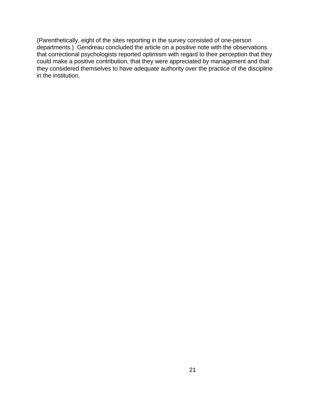(Parenthetically, eight of the sites reporting in the survey consisted of one-person departments.) Gendreau concluded the article on a positive note with the observations that correctional psychologists reported optimism with regard to their perception that they could make a positive contribution, that they were appreciated by management and that they considered themselves to have adequate authority over the practice of the discipline in the institution.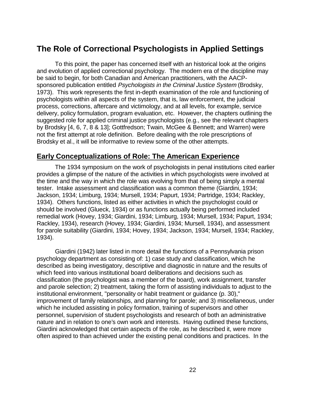# **The Role of Correctional Psychologists in Applied Settings**

To this point, the paper has concerned itself with an historical look at the origins and evolution of applied correctional psychology. The modern era of the discipline may be said to begin, for both Canadian and American practitioners, with the AACPsponsored publication entitled Psychologists in the Criminal Justice System (Brodsky, 1973). This work represents the first in-depth examination of the role and functioning of psychologists within all aspects of the system, that is, law enforcement, the judicial process, corrections, aftercare and victimology, and at all levels, for example, service delivery, policy formulation, program evaluation, etc. However, the chapters outlining the suggested role for applied criminal justice psychologists (e.g., see the relevant chapters by Brodsky [4, 6, 7, 8 & 13]; Gottfredson; Twain, McGee & Bennett; and Warren) were not the first attempt at role definition. Before dealing with the role prescriptions of Brodsky et al., it will be informative to review some of the other attempts.

#### **Early Conceptualizations of Role: The American Experience**

The 1934 symposium on the work of psychologists in penal institutions cited earlier provides a glimpse of the nature of the activities in which psychologists were involved at the time and the way in which the role was evolving from that of being simply a mental tester. Intake assessment and classification was a common theme (Giardini, 1934; Jackson, 1934; Limburg, 1934; Mursell, 1934; Papurt, 1934; Partridge, 1934; Rackley, 1934). Others functions, listed as either activities in which the psychologist could or should be involved (Glueck, 1934) or as functions actually being performed included remedial work (Hovey, 1934; Giardini, 1934; Limburg, 1934; Mursell, 1934; Papurt, 1934; Rackley, 1934), research (Hovey, 1934; Giardini, 1934; Mursell, 1934), and assessment for parole suitability (Giardini, 1934; Hovey, 1934; Jackson, 1934; Mursell, 1934; Rackley, 1934).

Giardini (1942) later listed in more detail the functions of a Pennsylvania prison psychology department as consisting of: 1) case study and classification, which he described as being investigatory, descriptive and diagnostic in nature and the results of which feed into various institutional board deliberations and decisions such as classification (the psychologist was a member of the board), work assignment, transfer and parole selection; 2) treatment, taking the form of assisting individuals to adjust to the institutional environment, "personality or habit treatment or guidance (p. 30)," improvement of family relationships, and planning for parole; and 3) miscellaneous, under which he included assisting in policy formation, training of supervisors and other personnel, supervision of student psychologists and research of both an administrative nature and in relation to one's own work and interests. Having outlined these functions, Giardini acknowledged that certain aspects of the role, as he described it, were more often aspired to than achieved under the existing penal conditions and practices. In the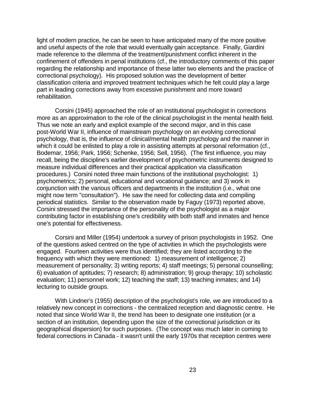light of modern practice, he can be seen to have anticipated many of the more positive and useful aspects of the role that would eventually gain acceptance. Finally, Giardini made reference to the dilemma of the treatment/punishment conflict inherent in the confinement of offenders in penal institutions (cf., the introductory comments of this paper regarding the relationship and importance of these latter two elements and the practice of correctional psychology). His proposed solution was the development of better classification criteria and improved treatment techniques which he felt could play a large part in leading corrections away from excessive punishment and more toward rehabilitation.

Corsini (1945) approached the role of an institutional psychologist in corrections more as an approximation to the role of the clinical psychologist in the mental health field. Thus we note an early and explicit example of the second major, and in this case post-World War II, influence of mainstream psychology on an evolving correctional psychology, that is, the influence of clinical/mental health psychology and the manner in which it could be enlisted to play a role in assisting attempts at personal reformation (cf., Bodemar, 1956; Park, 1956; Schenke, 1956; Sell, 1956). (The first influence, you may recall, being the discipline's earlier development of psychometric instruments designed to measure individual differences and their practical application via classification procedures.) Corsini noted three main functions of the institutional psychologist: 1) psychometrics; 2) personal, educational and vocational guidance; and 3) work in conjunction with the various officers and departments in the institution (i.e., what one might now term "consultation"). He saw the need for collecting data and compiling periodical statistics. Similar to the observation made by Faguy (1973) reported above, Corsini stressed the importance of the personality of the psychologist as a major contributing factor in establishing one's credibility with both staff and inmates and hence one's potential for effectiveness.

Corsini and Miller (1954) undertook a survey of prison psychologists in 1952. One of the questions asked centred on the type of activities in which the psychologists were engaged. Fourteen activities were thus identified; they are listed according to the frequency with which they were mentioned: 1) measurement of intelligence; 2) measurement of personality; 3) writing reports; 4) staff meetings; 5) personal counselling; 6) evaluation of aptitudes; 7) research; 8) administration; 9) group therapy; 10) scholastic evaluation; 11) personnel work; 12) teaching the staff; 13) teaching inmates; and 14) lecturing to outside groups.

With Lindner's (1955) description of the psychologist's role, we are introduced to a relatively new concept in corrections - the centralized reception and diagnostic centre. He noted that since World War II, the trend has been to designate one institution (or a section of an institution, depending upon the size of the correctional jurisdiction or its geographical dispersion) for such purposes. (The concept was much later in coming to federal corrections in Canada - it wasn't until the early 1970s that reception centres were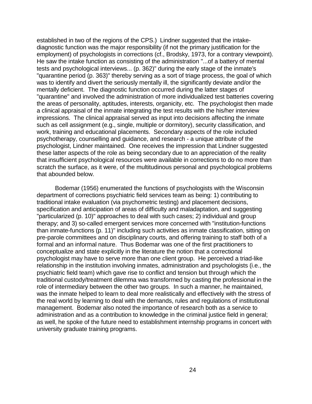established in two of the regions of the CPS.) Lindner suggested that the intakediagnostic function was the major responsibility (if not the primary justification for the employment) of psychologists in corrections (cf., Brodsky, 1973, for a contrary viewpoint). He saw the intake function as consisting of the administration "...of a battery of mental tests and psychological interviews... (p. 362)" during the early stage of the inmate's "quarantine period (p. 363)" thereby serving as a sort of triage process, the goal of which was to identify and divert the seriously mentally ill, the significantly deviate and/or the mentally deficient. The diagnostic function occurred during the latter stages of "quarantine" and involved the administration of more individualized test batteries covering the areas of personality, aptitudes, interests, organicity, etc. The psychologist then made a clinical appraisal of the inmate integrating the test results with the his/her interview impressions. The clinical appraisal served as input into decisions affecting the inmate such as cell assignment (e.g., single, multiple or dormitory), security classification, and work, training and educational placements. Secondary aspects of the role included psychotherapy, counselling and guidance, and research - a unique attribute of the psychologist, Lindner maintained. One receives the impression that Lindner suggested these latter aspects of the role as being secondary due to an appreciation of the reality that insufficient psychological resources were available in corrections to do no more than scratch the surface, as it were, of the multitudinous personal and psychological problems that abounded below.

Bodemar (1956) enumerated the functions of psychologists with the Wisconsin department of corrections psychiatric field services team as being: 1) contributing to traditional intake evaluation (via psychometric testing) and placement decisions, specification and anticipation of areas of difficulty and maladaptation, and suggesting "particularized (p. 10)" approaches to deal with such cases; 2) individual and group therapy; and 3) so-called emergent services more concerned with "institution-functions than inmate-functions (p. 11)" including such activities as inmate classification, sitting on pre-parole committees and on disciplinary courts, and offering training to staff both of a formal and an informal nature. Thus Bodemar was one of the first practitioners to conceptualize and state explicitly in the literature the notion that a correctional psychologist may have to serve more than one client group. He perceived a triad-like relationship in the institution involving inmates, administration and psychologists (i.e., the psychiatric field team) which gave rise to conflict and tension but through which the traditional custody/treatment dilemma was transformed by casting the professional in the role of intermediary between the other two groups. In such a manner, he maintained, was the inmate helped to learn to deal more realistically and effectively with the stress of the real world by learning to deal with the demands, rules and regulations of institutional management. Bodemar also noted the importance of research both as a service to administration and as a contribution to knowledge in the criminal justice field in general; as well, he spoke of the future need to establishment internship programs in concert with university graduate training programs.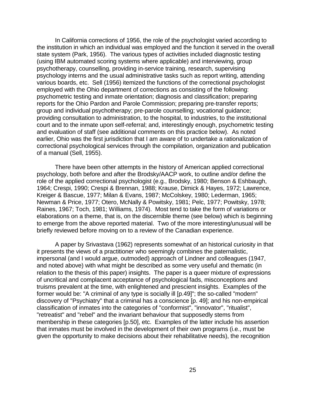In California corrections of 1956, the role of the psychologist varied according to the institution in which an individual was employed and the function it served in the overall state system (Park, 1956). The various types of activities included diagnostic testing (using IBM automated scoring systems where applicable) and interviewing, group psychotherapy, counselling, providing in-service training, research, supervising psychology interns and the usual administrative tasks such as report writing, attending various boards, etc. Sell (1956) itemized the functions of the correctional psychologist employed with the Ohio department of corrections as consisting of the following: psychometric testing and inmate orientation; diagnosis and classification; preparing reports for the Ohio Pardon and Parole Commission; preparing pre-transfer reports; group and individual psychotherapy; pre-parole counselling; vocational guidance; providing consultation to administration, to the hospital, to industries, to the institutional court and to the inmate upon self-referral; and, interestingly enough, psychometric testing and evaluation of staff (see additional comments on this practice below). As noted earlier, Ohio was the first jurisdiction that I am aware of to undertake a rationalization of correctional psychological services through the compilation, organization and publication of a manual (Sell, 1955).

There have been other attempts in the history of American applied correctional psychology, both before and after the Brodsky/AACP work, to outline and/or define the role of the applied correctional psychologist (e.g., Brodsky, 1980; Benson & Eshbaugh, 1964; Crespi, 1990; Crespi & Brennan, 1988; Krause, Dimick & Hayes, 1972; Lawrence, Kreiger & Bascue, 1977; Milan & Evans, 1987; McColskey, 1980; Lederman, 1965; Newman & Price, 1977; Otero, McNally & Powitsky, 1981; Pelc, 1977; Powitsky, 1978; Raines, 1967; Toch, 1981; Williams, 1974). Most tend to take the form of variations or elaborations on a theme, that is, on the discernible theme (see below) which is beginning to emerge from the above reported material. Two of the more interesting/unusual will be briefly reviewed before moving on to a review of the Canadian experience.

A paper by Srivastava (1962) represents somewhat of an historical curiosity in that it presents the views of a practitioner who seemingly combines the paternalistic, impersonal (and I would argue, outmoded) approach of Lindner and colleagues (1947, and noted above) with what might be described as some very useful and thematic (in relation to the thesis of this paper) insights. The paper is a queer mixture of expressions of uncritical and complacent acceptance of psychological fads, misconceptions and truisms prevalent at the time, with enlightened and prescient insights. Examples of the former would be: "A criminal of any type is socially ill [p.49]"; the so-called "modern" discovery of "Psychiatry" that a criminal has a conscience [p. 49]; and his non-empirical classification of inmates into the categories of "conformist", "innovator", "ritualist", "retreatist" and "rebel" and the invariant behaviour that supposedly stems from membership in these categories [p.50], etc. Examples of the latter include his assertion that inmates must be involved in the development of their own programs (i.e., must be given the opportunity to make decisions about their rehabilitative needs), the recognition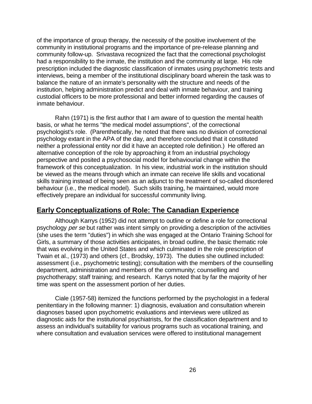of the importance of group therapy, the necessity of the positive involvement of the community in institutional programs and the importance of pre-release planning and community follow-up. Srivastava recognized the fact that the correctional psychologist had a responsibility to the inmate, the institution and the community at large. His role prescription included the diagnostic classification of inmates using psychometric tests and interviews, being a member of the institutional disciplinary board wherein the task was to balance the nature of an inmate's personality with the structure and needs of the institution, helping administration predict and deal with inmate behaviour, and training custodial officers to be more professional and better informed regarding the causes of inmate behaviour.

Rahn (1971) is the first author that I am aware of to question the mental health basis, or what he terms "the medical model assumptions", of the correctional psychologist's role. (Parenthetically, he noted that there was no division of correctional psychology extant in the APA of the day, and therefore concluded that it constituted neither a professional entity nor did it have an accepted role definition.) He offered an alternative conception of the role by approaching it from an industrial psychology perspective and posited a psychosocial model for behaviourial change within the framework of this conceptualization. In his view, industrial work in the institution should be viewed as the means through which an inmate can receive life skills and vocational skills training instead of being seen as an adjunct to the treatment of so-called disordered behaviour (i.e., the medical model). Such skills training, he maintained, would more effectively prepare an individual for successful community living.

### **Early Conceptualizations of Role: The Canadian Experience**

Although Karrys (1952) did not attempt to outline or define a role for correctional psychology per se but rather was intent simply on providing a description of the activities (she uses the term "duties") in which she was engaged at the Ontario Training School for Girls, a summary of those activities anticipates, in broad outline, the basic thematic role that was evolving in the United States and which culminated in the role prescription of Twain et al., (1973) and others (cf., Brodsky, 1973). The duties she outlined included: assessment (i.e., psychometric testing); consultation with the members of the counselling department, administration and members of the community; counselling and psychotherapy; staff training; and research. Karrys noted that by far the majority of her time was spent on the assessment portion of her duties.

Ciale (1957-58) itemized the functions performed by the psychologist in a federal penitentiary in the following manner: 1) diagnosis, evaluation and consultation wherein diagnoses based upon psychometric evaluations and interviews were utilized as diagnostic aids for the institutional psychiatrists, for the classification department and to assess an individual's suitability for various programs such as vocational training, and where consultation and evaluation services were offered to institutional management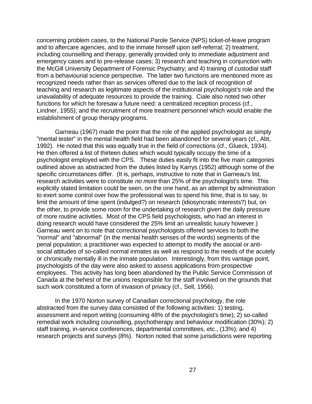concerning problem cases, to the National Parole Service (NPS) ticket-of-leave program and to aftercare agencies, and to the inmate himself upon self-referral; 2) treatment, including counselling and therapy, generally provided only to immediate adjustment and emergency cases and to pre-release cases; 3) research and teaching in conjunction with the McGill University Department of Forensic Psychiatry; and 4) training of custodial staff from a behaviourial science perspective. The latter two functions are mentioned more as recognized needs rather than as services offered due to the lack of recognition of teaching and research as legitimate aspects of the institutional psychologist's role and the unavailability of adequate resources to provide the training. Ciale also noted two other functions for which he foresaw a future need: a centralized reception process (cf., Lindner, 1955); and the recruitment of more treatment personnel which would enable the establishment of group therapy programs.

Garneau (1967) made the point that the role of the applied psychologist as simply "mental tester" in the mental health field had been abandoned for several years (cf., Abt, 1992). He noted that this was equally true in the field of corrections (cf., Glueck, 1934). He then offered a list of thirteen duties which would typically occupy the time of a psychologist employed with the CPS. These duties easily fit into the five main categories outlined above as abstracted from the duties listed by Karrys (1952) although some of the specific circumstances differ. (It is, perhaps, instructive to note that in Garneau's list, research activities were to constitute no more than 25% of the psychologist's time. This explicitly stated limitation could be seen, on the one hand, as an attempt by administration to exert some control over how the professional was to spend his time, that is to say, to limit the amount of time spent (indulged?) on research (idiosyncratic interests?) but, on the other, to provide some room for the undertaking of research given the daily pressure of more routine activities. Most of the CPS field psychologists, who had an interest in doing research would have considered the 25% limit an unrealistic luxury however.) Garneau went on to note that correctional psychologists offered services to both the "normal" and "abnormal" (in the mental health senses of the words) segments of the penal population; a practitioner was expected to attempt to modify the asocial or antisocial attitudes of so-called normal inmates as well as respond to the needs of the acutely or chronically mentally ill in the inmate population. Interestingly, from this vantage point, psychologists of the day were also asked to assess applications from prospective employees. This activity has long been abandoned by the Public Service Commission of Canada at the behest of the unions responsible for the staff involved on the grounds that such work constituted a form of invasion of privacy (cf., Sell, 1956).

In the 1970 Norton survey of Canadian correctional psychology, the role abstracted from the survey data consisted of the following activities: 1) testing, assessment and report writing (consuming 48% of the psychologist's time); 2) so-called remedial work including counselling, psychotherapy and behaviour modification (30%); 2) staff training, in-service conferences, departmental committees, etc., (13%); and 4) research projects and surveys (8%). Norton noted that some jurisdictions were reporting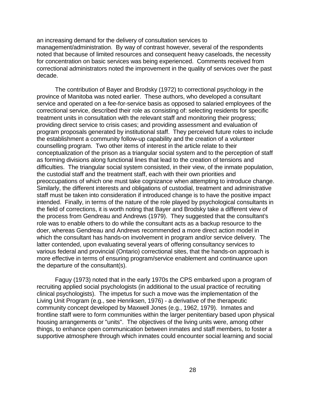an increasing demand for the delivery of consultation services to management/administration. By way of contrast however, several of the respondents noted that because of limited resources and consequent heavy caseloads, the necessity for concentration on basic services was being experienced. Comments received from correctional administrators noted the improvement in the quality of services over the past decade.

The contribution of Bayer and Brodsky (1972) to correctional psychology in the province of Manitoba was noted earlier. These authors, who developed a consultant service and operated on a fee-for-service basis as opposed to salaried employees of the correctional service, described their role as consisting of: selecting residents for specific treatment units in consultation with the relevant staff and monitoring their progress; providing direct service to crisis cases; and providing assessment and evaluation of program proposals generated by institutional staff. They perceived future roles to include the establishment a community follow-up capability and the creation of a volunteer counselling program. Two other items of interest in the article relate to their conceptualization of the prison as a triangular social system and to the perception of staff as forming divisions along functional lines that lead to the creation of tensions and difficulties. The triangular social system consisted, in their view, of the inmate population, the custodial staff and the treatment staff, each with their own priorities and preoccupations of which one must take cognizance when attempting to introduce change. Similarly, the different interests and obligations of custodial, treatment and administrative staff must be taken into consideration if introduced change is to have the positive impact intended. Finally, in terms of the nature of the role played by psychological consultants in the field of corrections, it is worth noting that Bayer and Brodsky take a different view of the process from Gendreau and Andrews (1979). They suggested that the consultant's role was to enable others to do while the consultant acts as a backup resource to the doer, whereas Gendreau and Andrews recommended a more direct action model in which the consultant has hands-on involvement in program and/or service delivery. The latter contended, upon evaluating several years of offering consultancy services to various federal and provincial (Ontario) correctional sites, that the hands-on approach is more effective in terms of ensuring program/service enablement and continuance upon the departure of the consultant(s).

Faguy (1973) noted that in the early 1970s the CPS embarked upon a program of recruiting applied social psychologists (in additional to the usual practice of recruiting clinical psychologists). The impetus for such a move was the implementation of the Living Unit Program (e.g., see Henriksen, 1976) - a derivative of the therapeutic community concept developed by Maxwell Jones (e.g., 1962, 1979). Inmates and frontline staff were to form communities within the larger penitentiary based upon physical housing arrangements or "units". The objectives of the living units were, among other things, to enhance open communication between inmates and staff members, to foster a supportive atmosphere through which inmates could encounter social learning and social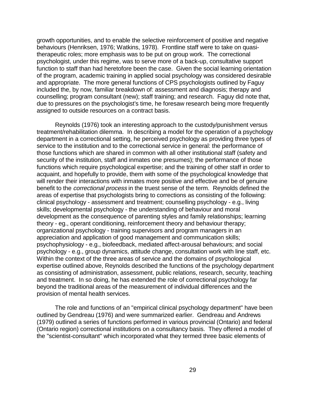growth opportunities, and to enable the selective reinforcement of positive and negative behaviours (Henriksen, 1976; Watkins, 1978). Frontline staff were to take on quasitherapeutic roles; more emphasis was to be put on group work. The correctional psychologist, under this regime, was to serve more of a back-up, consultative support function to staff than had heretofore been the case. Given the social learning orientation of the program, academic training in applied social psychology was considered desirable and appropriate. The more general functions of CPS psychologists outlined by Faguy included the, by now, familiar breakdown of: assessment and diagnosis; therapy and counselling; program consultant (new); staff training; and research. Faguy did note that, due to pressures on the psychologist's time, he foresaw research being more frequently assigned to outside resources on a contract basis.

Reynolds (1976) took an interesting approach to the custody/punishment versus treatment/rehabilitation dilemma. In describing a model for the operation of a psychology department in a correctional setting, he perceived psychology as providing three types of service to the institution and to the correctional service in general: the performance of those functions which are shared in common with all other institutional staff (safety and security of the institution, staff and inmates one presumes); the performance of those functions which require psychological expertise; and the training of other staff in order to acquaint, and hopefully to provide, them with some of the psychological knowledge that will render their interactions with inmates more positive and effective and be of genuine benefit to the correctional process in the truest sense of the term. Reynolds defined the areas of expertise that psychologists bring to corrections as consisting of the following: clinical psychology - assessment and treatment; counselling psychology - e.g., living skills; developmental psychology - the understanding of behaviour and moral development as the consequence of parenting styles and family relationships; learning theory - eg., operant conditioning, reinforcement theory and behaviour therapy; organizational psychology - training supervisors and program managers in an appreciation and application of good management and communication skills; psychophysiology - e.g., biofeedback, mediated affect-arousal behaviours; and social psychology - e.g., group dynamics, attitude change, consultation work with line staff, etc. Within the context of the three areas of service and the domains of psychological expertise outlined above, Reynolds described the functions of the psychology department as consisting of administration, assessment, public relations, research, security, teaching and treatment. In so doing, he has extended the role of correctional psychology far beyond the traditional areas of the measurement of individual differences and the provision of mental health services.

The role and functions of an "empirical clinical psychology department" have been outlined by Gendreau (1976) and were summarized earlier. Gendreau and Andrews (1979) outlined a series of functions performed in various provincial (Ontario) and federal (Ontario region) correctional institutions on a consultancy basis. They offered a model of the "scientist-consultant" which incorporated what they termed three basic elements of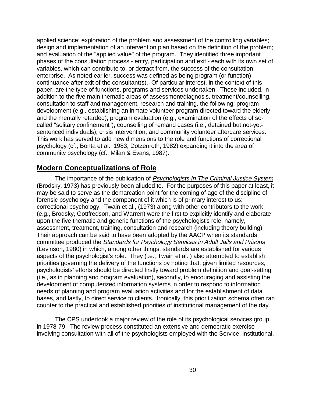applied science: exploration of the problem and assessment of the controlling variables; design and implementation of an intervention plan based on the definition of the problem; and evaluation of the "applied value" of the program. They identified three important phases of the consultation process - entry, participation and exit - each with its own set of variables, which can contribute to, or detract from, the success of the consultation enterprise. As noted earlier, success was defined as being program (or function) continuance after exit of the consultant(s). Of particular interest, in the context of this paper, are the type of functions, programs and services undertaken. These included, in addition to the five main thematic areas of assessment/diagnosis, treatment/counselling, consultation to staff and management, research and training, the following: program development (e.g., establishing an inmate volunteer program directed toward the elderly and the mentally retarded); program evaluation (e.g., examination of the effects of socalled "solitary confinement"); counselling of remand cases (i.e., detained but not-yetsentenced individuals); crisis intervention; and community volunteer aftercare services. This work has served to add new dimensions to the role and functions of correctional psychology (cf., Bonta et al., 1983; Dotzenroth, 1982) expanding it into the area of community psychology (cf., Milan & Evans, 1987).

#### **Modern Conceptualizations of Role**

The importance of the publication of Psychologists In The Criminal Justice System (Brodsky, 1973) has previously been alluded to. For the purposes of this paper at least, it may be said to serve as the demarcation point for the coming of age of the discipline of forensic psychology and the component of it which is of primary interest to us: correctional psychology. Twain et al., (1973) along with other contributors to the work (e.g., Brodsky, Gottfredson, and Warren) were the first to explicitly identify and elaborate upon the five thematic and generic functions of the psychologist's role, namely, assessment, treatment, training, consultation and research (including theory building). Their approach can be said to have been adopted by the AACP when its standards committee produced the Standards for Psychology Services in Adult Jails and Prisons (Levinson, 1980) in which, among other things, standards are established for various aspects of the psychologist's role. They (i.e., Twain et al.,) also attempted to establish priorities governing the delivery of the functions by noting that, given limited resources, psychologists' efforts should be directed firstly toward problem definition and goal-setting (i.e., as in planning and program evaluation), secondly, to encouraging and assisting the development of computerized information systems in order to respond to information needs of planning and program evaluation activities and for the establishment of data bases, and lastly, to direct service to clients. Ironically, this prioritization schema often ran counter to the practical and established priorities of institutional management of the day.

The CPS undertook a major review of the role of its psychological services group in 1978-79. The review process constituted an extensive and democratic exercise involving consultation with all of the psychologists employed with the Service; institutional,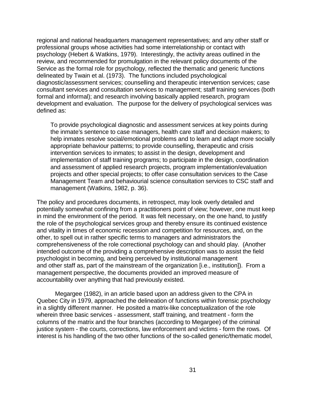regional and national headquarters management representatives; and any other staff or professional groups whose activities had some interrelationship or contact with psychology (Hebert & Watkins, 1979). Interestingly, the activity areas outlined in the review, and recommended for promulgation in the relevant policy documents of the Service as the formal role for psychology, reflected the thematic and generic functions delineated by Twain et al. (1973). The functions included psychological diagnostic/assessment services; counselling and therapeutic intervention services; case consultant services and consultation services to management; staff training services (both formal and informal); and research involving basically applied research, program development and evaluation. The purpose for the delivery of psychological services was defined as:

To provide psychological diagnostic and assessment services at key points during the inmate's sentence to case managers, health care staff and decision makers; to help inmates resolve social/emotional problems and to learn and adapt more socially appropriate behaviour patterns; to provide counselling, therapeutic and crisis intervention services to inmates; to assist in the design, development and implementation of staff training programs; to participate in the design, coordination and assessment of applied research projects, program implementation/evaluation projects and other special projects; to offer case consultation services to the Case Management Team and behaviourial science consultation services to CSC staff and management (Watkins, 1982, p. 36).

The policy and procedures documents, in retrospect, may look overly detailed and potentially somewhat confining from a practitioners point of view; however, one must keep in mind the environment of the period. It was felt necessary, on the one hand, to justify the role of the psychological services group and thereby ensure its continued existence and vitality in times of economic recession and competition for resources, and, on the other, to spell out in rather specific terms to managers and administrators the comprehensiveness of the role correctional psychology can and should play. (Another intended outcome of the providing a comprehensive description was to assist the field psychologist in becoming, and being perceived by institutional management and other staff as, part of the mainstream of the organization [i.e., institution]). From a management perspective, the documents provided an improved measure of accountability over anything that had previously existed.

Megargee (1982), in an article based upon an address given to the CPA in Quebec City in 1979, approached the delineation of functions within forensic psychology in a slightly different manner. He posited a matrix-like conceptualization of the role wherein three basic services - assessment, staff training, and treatment - form the columns of the matrix and the four branches (according to Megargee) of the criminal justice system - the courts, corrections, law enforcement and victims - form the rows. Of interest is his handling of the two other functions of the so-called generic/thematic model,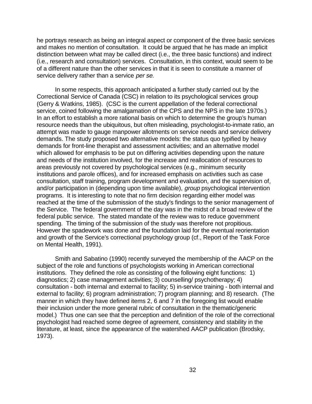he portrays research as being an integral aspect or component of the three basic services and makes no mention of consultation. It could be argued that he has made an implicit distinction between what may be called direct (i.e., the three basic functions) and indirect (i.e., research and consultation) services. Consultation, in this context, would seem to be of a different nature than the other services in that it is seen to constitute a manner of service delivery rather than a service per se.

In some respects, this approach anticipated a further study carried out by the Correctional Service of Canada (CSC) in relation to its psychological services group (Gerry & Watkins, 1985). (CSC is the current appellation of the federal correctional service, coined following the amalgamation of the CPS and the NPS in the late 1970s.) In an effort to establish a more rational basis on which to determine the group's human resource needs than the ubiquitous, but often misleading, psychologist-to-inmate ratio, an attempt was made to gauge manpower allotments on service needs and service delivery demands. The study proposed two alternative models: the status quo typified by heavy demands for front-line therapist and assessment activities; and an alternative model which allowed for emphasis to be put on differing activities depending upon the nature and needs of the institution involved, for the increase and reallocation of resources to areas previously not covered by psychological services (e.g., minimum security institutions and parole offices), and for increased emphasis on activities such as case consultation, staff training, program development and evaluation, and the supervision of, and/or participation in (depending upon time available), group psychological intervention programs. It is interesting to note that no firm decision regarding either model was reached at the time of the submission of the study's findings to the senior management of the Service. The federal government of the day was in the midst of a broad review of the federal public service. The stated mandate of the review was to reduce government spending. The timing of the submission of the study was therefore not propitious. However the spadework was done and the foundation laid for the eventual reorientation and growth of the Service's correctional psychology group (cf., Report of the Task Force on Mental Health, 1991).

Smith and Sabatino (1990) recently surveyed the membership of the AACP on the subject of the role and functions of psychologists working in American correctional institutions. They defined the role as consisting of the following eight functions: 1) diagnostics; 2) case management activities; 3) counselling/ psychotherapy; 4) consultation - both internal and external to facility; 5) in-service training - both internal and external to facility; 6) program administration; 7) program planning; and 8) research. (The manner in which they have defined items 2, 6 and 7 in the foregoing list would enable their inclusion under the more general rubric of consultation in the thematic/generic model.) Thus one can see that the perception and definition of the role of the correctional psychologist had reached some degree of agreement, consistency and stability in the literature, at least, since the appearance of the watershed AACP publication (Brodsky, 1973).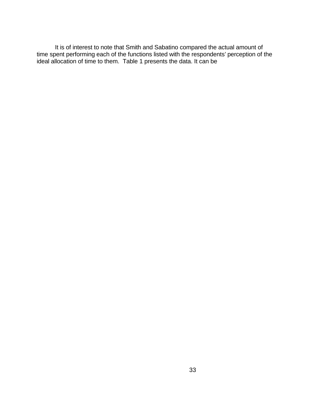It is of interest to note that Smith and Sabatino compared the actual amount of time spent performing each of the functions listed with the respondents' perception of the ideal allocation of time to them. Table 1 presents the data. It can be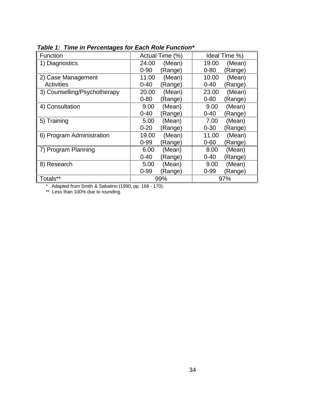| Function                     | Actual Time (%)     | Ideal Time %)       |
|------------------------------|---------------------|---------------------|
| <b>Diagnostics</b>           | 24.00<br>(Mean)     | 19.00<br>(Mean)     |
|                              | $0 - 90$<br>(Range) | $0 - 80$<br>(Range) |
| 2) Case Management           | (Mean)<br>11.00     | 10.00<br>(Mean)     |
| <b>Activities</b>            | $0 - 40$<br>(Range) | $0 - 40$<br>(Range) |
| 3) Counselling/Psychotherapy | (Mean)<br>20.00     | 23.00<br>(Mean)     |
|                              | $0 - 80$<br>(Range) | $0 - 80$<br>(Range) |
| 4) Consultation              | (Mean)<br>9.00      | 9.00<br>(Mean)      |
|                              | $0 - 40$<br>(Range) | $0 - 40$<br>(Range) |
| 5) Training                  | (Mean)<br>5.00      | 7.00<br>(Mean)      |
|                              | $0 - 20$<br>(Range) | $0 - 30$<br>(Range) |
| 6) Program Administration    | 19.00<br>(Mean)     | 11.00<br>(Mean)     |
|                              | $0 - 99$<br>(Range) | $0 - 60$<br>(Range) |
| <b>Program Planning</b>      | 6.00<br>(Mean)      | 8.00<br>(Mean)      |
|                              | $0 - 40$<br>Range)  | $0 - 40$<br>(Range) |
| 8) Research                  | 5.00<br>(Mean)      | 9.00<br>(Mean)      |
|                              | $0 - 99$<br>Range)  | $0 - 99$<br>(Range) |
| Totals**                     | 99%                 | 97%                 |

**Table 1: Time in Percentages for Each Role Function\***

\* Adapted from Smith & Sabatino (1990, pp. 168 - 170).

\*\* Less than 100% due to rounding.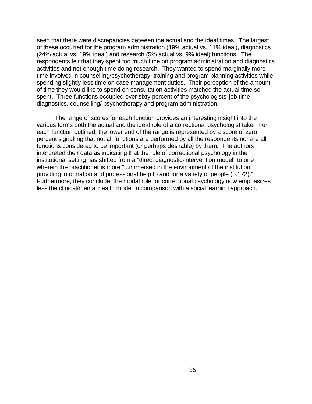seen that there were discrepancies between the actual and the ideal times. The largest of these occurred for the program administration (19% actual vs. 11% ideal), diagnostics (24% actual vs. 19% ideal) and research (5% actual vs. 9% ideal) functions. The respondents felt that they spent too much time on program administration and diagnostics activities and not enough time doing research. They wanted to spend marginally more time involved in counselling/psychotherapy, training and program planning activities while spending slightly less time on case management duties. Their perception of the amount of time they would like to spend on consultation activities matched the actual time so spent. Three functions occupied over sixty percent of the psychologists' job time diagnostics, counselling/ psychotherapy and program administration.

The range of scores for each function provides an interesting insight into the various forms both the actual and the ideal role of a correctional psychologist take. For each function outlined, the lower end of the range is represented by a score of zero percent signalling that not all functions are performed by all the respondents nor are all functions considered to be important (or perhaps desirable) by them. The authors interpreted their data as indicating that the role of correctional psychology in the institutional setting has shifted from a "direct diagnostic-intervention model" to one wherein the practitioner is more "...immersed in the environment of the institution, providing information and professional help to and for a variety of people (p.172)." Furthermore, they conclude, the modal role for correctional psychology now emphasizes less the clinical/mental health model in comparison with a social learning approach.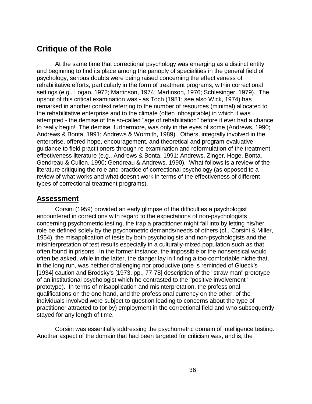# **Critique of the Role**

At the same time that correctional psychology was emerging as a distinct entity and beginning to find its place among the panoply of specialities in the general field of psychology, serious doubts were being raised concerning the effectiveness of rehabilitative efforts, particularly in the form of treatment programs, within correctional settings (e.g., Logan, 1972; Martinson, 1974; Martinson, 1976; Schlesinger, 1979). The upshot of this critical examination was - as Toch (1981; see also Wick, 1974) has remarked in another context referring to the number of resources (minimal) allocated to the rehabilitative enterprise and to the climate (often inhospitable) in which it was attempted - the demise of the so-called "age of rehabilitation" before it ever had a chance to really begin! The demise, furthermore, was only in the eyes of some (Andrews, 1990; Andrews & Bonta, 1991; Andrews & Wormith, 1989). Others, integrally involved in the enterprise, offered hope, encouragement, and theoretical and program-evaluative guidance to field practitioners through re-examination and reformulation of the treatmenteffectiveness literature (e.g., Andrews & Bonta, 1991; Andrews, Zinger, Hoge, Bonta, Gendreau & Cullen, 1990; Gendreau & Andrews, 1990). What follows is a review of the literature critiquing the role and practice of correctional psychology (as opposed to a review of what works and what doesn't work in terms of the effectiveness of different types of correctional treatment programs).

#### **Assessment**

Corsini (1959) provided an early glimpse of the difficulties a psychologist encountered in corrections with regard to the expectations of non-psychologists concerning psychometric testing, the trap a practitioner might fall into by letting his/her role be defined solely by the psychometric demands/needs of others (cf., Corsini & Miller, 1954), the misapplication of tests by both psychologists and non-psychologists and the misinterpretation of test results especially in a culturally-mixed population such as that often found in prisons. In the former instance, the impossible or the nonsensical would often be asked, while in the latter, the danger lay in finding a too-comfortable niche that, in the long run, was neither challenging nor productive (one is reminded of Glueck's [1934] caution and Brodsky's [1973, pp., 77-78] description of the "straw man" prototype of an institutional psychologist which he contrasted to the "positive involvement" prototype). In terms of misapplication and misinterpretation, the professional qualifications on the one hand, and the professional currency on the other, of the individuals involved were subject to question leading to concerns about the type of practitioner attracted to (or by) employment in the correctional field and who subsequently stayed for any length of time.

Corsini was essentially addressing the psychometric domain of intelligence testing. Another aspect of the domain that had been targeted for criticism was, and is, the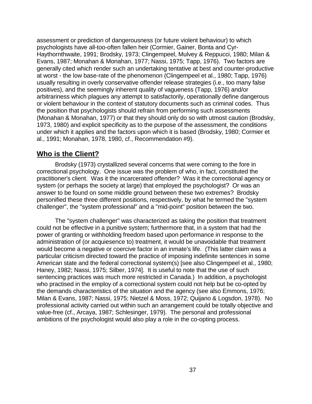assessment or prediction of dangerousness (or future violent behaviour) to which psychologists have all-too-often fallen heir (Cormier, Gainer, Bonta and Cyr-Haythornthwaite, 1991; Brodsky, 1973; Clingempeel, Mulvey & Reppucci, 1980; Milan & Evans, 1987; Monahan & Monahan, 1977; Nassi, 1975; Tapp, 1976). Two factors are generally cited which render such an undertaking tentative at best and counter-productive at worst - the low base-rate of the phenomenon (Clingempeel et al., 1980; Tapp, 1976) usually resulting in overly conservative offender release strategies (i.e., too many false positives), and the seemingly inherent quality of vagueness (Tapp, 1976) and/or arbitrariness which plagues any attempt to satisfactorily, operationally define dangerous or violent behaviour in the context of statutory documents such as criminal codes. Thus the position that psychologists should refrain from performing such assessments (Monahan & Monahan, 1977) or that they should only do so with utmost caution (Brodsky, 1973, 1980) and explicit specificity as to the purpose of the assessment, the conditions under which it applies and the factors upon which it is based (Brodsky, 1980; Cormier et al., 1991; Monahan, 1978, 1980, cf., Recommendation #9).

### **Who is the Client?**

Brodsky (1973) crystallized several concerns that were coming to the fore in correctional psychology. One issue was the problem of who, in fact, constituted the practitioner's client. Was it the incarcerated offender? Was it the correctional agency or system (or perhaps the society at large) that employed the psychologist? Or was an answer to be found on some middle ground between these two extremes? Brodsky personified these three different positions, respectively, by what he termed the "system challenger", the "system professional" and a "mid-point" position between the two.

The "system challenger" was characterized as taking the position that treatment could not be effective in a punitive system; furthermore that, in a system that had the power of granting or withholding freedom based upon performance in response to the administration of (or acquiesence to) treatment, it would be unavoidable that treatment would become a negative or coercive factor in an inmate's life. (This latter claim was a particular criticism directed toward the practice of imposing indefinite sentences in some American state and the federal correctional system(s) [see also Clingempeel et al., 1980; Haney, 1982; Nassi, 1975; Silber, 1974]. It is useful to note that the use of such sentencing practices was much more restricted in Canada.) In addition, a psychologist who practised in the employ of a correctional system could not help but be co-opted by the demands characteristics of the situation and the agency (see also Emmons, 1976; Milan & Evans, 1987; Nassi, 1975; Nietzel & Moss, 1972; Quijano & Logsdon, 1978). No professional activity carried out within such an arrangement could be totally objective and value-free (cf., Arcaya, 1987; Schlesinger, 1979). The personal and professional ambitions of the psychologist would also play a role in the co-opting process.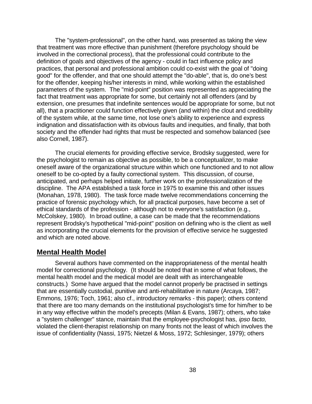The "system-professional", on the other hand, was presented as taking the view that treatment was more effective than punishment (therefore psychology should be involved in the correctional process), that the professional could contribute to the definition of goals and objectives of the agency - could in fact influence policy and practices, that personal and professional ambition could co-exist with the goal of "doing good" for the offender, and that one should attempt the "do-able", that is, do one's best for the offender, keeping his/her interests in mind, while working within the established parameters of the system. The "mid-point" position was represented as appreciating the fact that treatment was appropriate for some, but certainly not all offenders (and by extension, one presumes that indefinite sentences would be appropriate for some, but not all), that a practitioner could function effectively given (and within) the clout and credibility of the system while, at the same time, not lose one's ability to experience and express indignation and dissatisfaction with its obvious faults and inequities, and finally, that both society and the offender had rights that must be respected and somehow balanced (see also Cornell, 1987).

The crucial elements for providing effective service, Brodsky suggested, were for the psychologist to remain as objective as possible, to be a conceptualizer, to make oneself aware of the organizational structure within which one functioned and to not allow oneself to be co-opted by a faulty correctional system. This discussion, of course, anticipated, and perhaps helped initiate, further work on the professionalization of the discipline. The APA established a task force in 1975 to examine this and other issues (Monahan, 1978, 1980). The task force made twelve recommendations concerning the practice of forensic psychology which, for all practical purposes, have become a set of ethical standards of the profession - although not to everyone's satisfaction (e.g., McColskey, 1980). In broad outline, a case can be made that the recommendations represent Brodsky's hypothetical "mid-point" position on defining who is the client as well as incorporating the crucial elements for the provision of effective service he suggested and which are noted above.

#### **Mental Health Model**

Several authors have commented on the inappropriateness of the mental health model for correctional psychology. (It should be noted that in some of what follows, the mental health model and the medical model are dealt with as interchangeable constructs.) Some have argued that the model cannot properly be practised in settings that are essentially custodial, punitive and anti-rehabilitative in nature (Arcaya, 1987; Emmons, 1976; Toch, 1961; also cf., introductory remarks - this paper); others contend that there are too many demands on the institutional psychologist's time for him/her to be in any way effective within the model's precepts (Milan & Evans, 1987); others, who take a "system challenger" stance, maintain that the employee-psychologist has, ipso facto, violated the client-therapist relationship on many fronts not the least of which involves the issue of confidentiality (Nassi, 1975; Nietzel & Moss, 1972; Schlesinger, 1979); others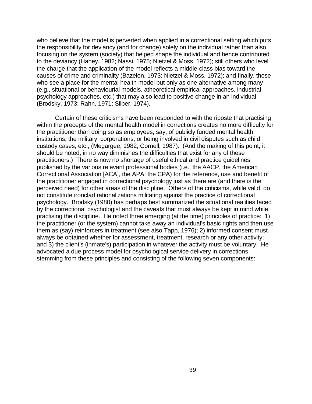who believe that the model is perverted when applied in a correctional setting which puts the responsibility for deviancy (and for change) solely on the individual rather than also focusing on the system (society) that helped shape the individual and hence contributed to the deviancy (Haney, 1982; Nassi, 1975; Nietzel & Moss, 1972); still others who level the charge that the application of the model reflects a middle-class bias toward the causes of crime and criminality (Bazelon, 1973; Nietzel & Moss, 1972); and finally, those who see a place for the mental health model but only as one alternative among many (e.g., situational or behaviourial models, atheoretical empirical approaches, industrial psychology approaches, etc.) that may also lead to positive change in an individual (Brodsky, 1973; Rahn, 1971; Silber, 1974).

Certain of these criticisms have been responded to with the riposte that practising within the precepts of the mental health model in corrections creates no more difficulty for the practitioner than doing so as employees, say, of publicly funded mental health institutions, the military, corporations, or being involved in civil disputes such as child custody cases, etc., (Megargee, 1982; Cornell, 1987). (And the making of this point, it should be noted, in no way diminishes the difficulties that exist for any of these practitioners.) There is now no shortage of useful ethical and practice guidelines published by the various relevant professional bodies (i.e., the AACP, the American Correctional Association [ACA], the APA, the CPA) for the reference, use and benefit of the practitioner engaged in correctional psychology just as there are (and there is the perceived need) for other areas of the discipline. Others of the criticisms, while valid, do not constitute ironclad rationalizations militating against the practice of correctional psychology. Brodsky (1980) has perhaps best summarized the situational realities faced by the correctional psychologist and the caveats that must always be kept in mind while practising the discipline. He noted three emerging (at the time) principles of practice: 1) the practitioner (or the system) cannot take away an individual's basic rights and then use them as (say) reinforcers in treatment (see also Tapp, 1976); 2) informed consent must always be obtained whether for assessment, treatment, research or any other activity; and 3) the client's (inmate's) participation in whatever the activity must be voluntary. He advocated a due process model for psychological service delivery in corrections stemming from these principles and consisting of the following seven components: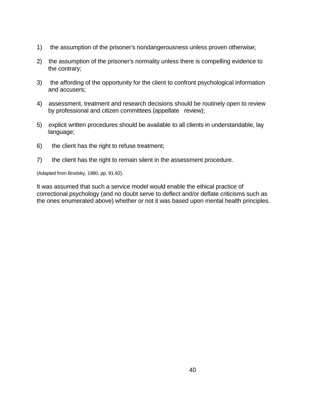- 1) the assumption of the prisoner's nondangerousness unless proven otherwise;
- 2) the assumption of the prisoner's normality unless there is compelling evidence to the contrary;
- 3) the affording of the opportunity for the client to confront psychological information and accusers;
- 4) assessment, treatment and research decisions should be routinely open to review by professional and citizen committees (appellate review);
- 5) explicit written procedures should be available to all clients in understandable, lay language;
- 6) the client has the right to refuse treatment;
- 7) the client has the right to remain silent in the assessment procedure.

(Adapted from Brodsky, 1980, pp. 91-92).

It was assumed that such a service model would enable the ethical practice of correctional psychology (and no doubt serve to deflect and/or deflate criticisms such as the ones enumerated above) whether or not it was based upon mental health principles.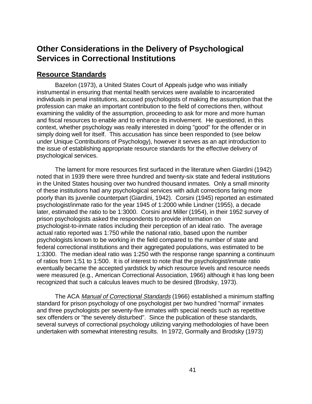# **Other Considerations in the Delivery of Psychological Services in Correctional Institutions**

#### **Resource Standards**

Bazelon (1973), a United States Court of Appeals judge who was initially instrumental in ensuring that mental health services were available to incarcerated individuals in penal institutions, accused psychologists of making the assumption that the profession can make an important contribution to the field of corrections then, without examining the validity of the assumption, proceeding to ask for more and more human and fiscal resources to enable and to enhance its involvement. He questioned, in this context, whether psychology was really interested in doing "good" for the offender or in simply doing well for itself. This accusation has since been responded to (see below under Unique Contributions of Psychology), however it serves as an apt introduction to the issue of establishing appropriate resource standards for the effective delivery of psychological services.

The lament for more resources first surfaced in the literature when Giardini (1942) noted that in 1939 there were three hundred and twenty-six state and federal institutions in the United States housing over two hundred thousand inmates. Only a small minority of these institutions had any psychological services with adult corrections faring more poorly than its juvenile counterpart (Giardini, 1942). Corsini (1945) reported an estimated psychologist/inmate ratio for the year 1945 of 1:2000 while Lindner (1955), a decade later, estimated the ratio to be 1:3000. Corsini and Miller (1954), in their 1952 survey of prison psychologists asked the respondents to provide information on psychologist-to-inmate ratios including their perception of an ideal ratio. The average actual ratio reported was 1:750 while the national ratio, based upon the number psychologists known to be working in the field compared to the number of state and federal correctional institutions and their aggregated populations, was estimated to be 1:3300. The median ideal ratio was 1:250 with the response range spanning a continuum of ratios from 1:51 to 1:500. It is of interest to note that the psychologist/inmate ratio eventually became the accepted yardstick by which resource levels and resource needs were measured (e.g., American Correctional Association, 1966) although it has long been recognized that such a calculus leaves much to be desired (Brodsky, 1973).

The ACA Manual of Correctional Standards (1966) established a minimum staffing standard for prison psychology of one psychologist per two hundred "normal" inmates and three psychologists per seventy-five inmates with special needs such as repetitive sex offenders or "the severely disturbed". Since the publication of these standards, several surveys of correctional psychology utilizing varying methodologies of have been undertaken with somewhat interesting results. In 1972, Gormally and Brodsky (1973)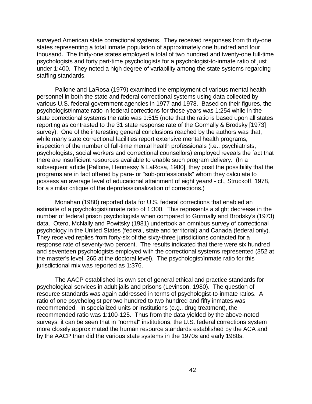surveyed American state correctional systems. They received responses from thirty-one states representing a total inmate population of approximately one hundred and four thousand. The thirty-one states employed a total of two hundred and twenty-one full-time psychologists and forty part-time psychologists for a psychologist-to-inmate ratio of just under 1:400. They noted a high degree of variability among the state systems regarding staffing standards.

Pallone and LaRosa (1979) examined the employment of various mental health personnel in both the state and federal correctional systems using data collected by various U.S. federal government agencies in 1977 and 1978. Based on their figures, the psychologist/inmate ratio in federal corrections for those years was 1:254 while in the state correctional systems the ratio was 1:515 (note that the ratio is based upon all states reporting as contrasted to the 31 state response rate of the Gormally & Brodsky [1973] survey). One of the interesting general conclusions reached by the authors was that, while many state correctional facilities report extensive mental health programs, inspection of the number of full-time mental health professionals (i.e., psychiatrists, psychologists, social workers and correctional counsellors) employed reveals the fact that there are insufficient resources available to enable such program delivery. (In a subsequent article [Pallone, Hennessy & LaRosa, 1980], they posit the possibility that the programs are in fact offered by para- or "sub-professionals" whom they calculate to possess an average level of educational attainment of eight years! - cf., Struckoff, 1978, for a similar critique of the deprofessionalization of corrections.)

Monahan (1980) reported data for U.S. federal corrections that enabled an estimate of a psychologist/inmate ratio of 1:300. This represents a slight decrease in the number of federal prison psychologists when compared to Gormally and Brodsky's (1973) data. Otero, McNally and Powitsky (1981) undertook an omnibus survey of correctional psychology in the United States (federal, state and territorial) and Canada (federal only). They received replies from forty-six of the sixty-three jurisdictions contacted for a response rate of seventy-two percent. The results indicated that there were six hundred and seventeen psychologists employed with the correctional systems represented (352 at the master's level, 265 at the doctoral level). The psychologist/inmate ratio for this jurisdictional mix was reported as 1:376.

The AACP established its own set of general ethical and practice standards for psychological services in adult jails and prisons (Levinson, 1980). The question of resource standards was again addressed in terms of psychologist-to-inmate ratios. A ratio of one psychologist per two hundred to two hundred and fifty inmates was recommended. In specialized units or institutions (e.g., drug treatment), the recommended ratio was 1:100-125. Thus from the data yielded by the above-noted surveys, it can be seen that in "normal" institutions, the U.S. federal corrections system more closely approximated the human resource standards established by the ACA and by the AACP than did the various state systems in the 1970s and early 1980s.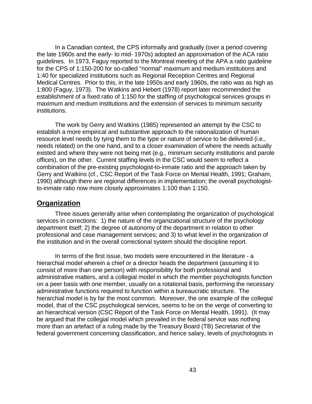In a Canadian context, the CPS informally and gradually (over a period covering the late 1960s and the early- to mid- 1970s) adopted an approximation of the ACA ratio guidelines. In 1973, Faguy reported to the Montreal meeting of the APA a ratio guideline for the CPS of 1:150-200 for so-called "normal" maximum and medium institutions and 1:40 for specialized institutions such as Regional Reception Centres and Regional Medical Centres. Prior to this, in the late 1950s and early 1960s, the ratio was as high as 1:800 (Faguy, 1973). The Watkins and Hebert (1978) report later recommended the establishment of a fixed ratio of 1:150 for the staffing of psychological services groups in maximum and medium institutions and the extension of services to minimum security institutions.

The work by Gerry and Watkins (1985) represented an attempt by the CSC to establish a more empirical and substantive approach to the rationalization of human resource level needs by tying them to the type or nature of service to be delivered (i.e., needs related) on the one hand, and to a closer examination of where the needs actually existed and where they were not being met (e.g., minimum security institutions and parole offices), on the other. Current staffing levels in the CSC would seem to reflect a combination of the pre-existing psychologist-to-inmate ratio and the approach taken by Gerry and Watkins (cf., CSC Report of the Task Force on Mental Health, 1991; Graham, 1990) although there are regional differences in implementation; the overall psychologistto-inmate ratio now more closely approximates 1:100 than 1:150.

#### **Organization**

Three issues generally arise when contemplating the organization of psychological services in corrections: 1) the nature of the organizational structure of the psychology department itself; 2) the degree of autonomy of the department in relation to other professional and case management services; and 3) to what level in the organization of the institution and in the overall correctional system should the discipline report.

In terms of the first issue, two models were encountered in the literature - a hierarchial model wherein a chief or a director heads the department (assuming it to consist of more than one person) with responsibility for both professional and administrative matters, and a collegial model in which the member psychologists function on a peer basis with one member, usually on a rotational basis, performing the necessary administrative functions required to function within a bureaucratic structure. The hierarchial model is by far the most common. Moreover, the one example of the collegial model, that of the CSC psychological services, seems to be on the verge of converting to an hierarchical version (CSC Report of the Task Force on Mental Health, 1991). (It may be argued that the collegial model which prevailed in the federal service was nothing more than an artefact of a ruling made by the Treasury Board (TB) Secretariat of the federal government concerning classification, and hence salary, levels of psychologists in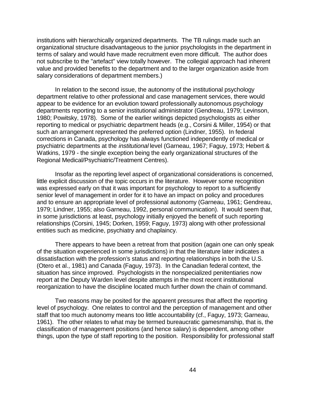institutions with hierarchically organized departments. The TB rulings made such an organizational structure disadvantageous to the junior psychologists in the department in terms of salary and would have made recruitment even more difficult. The author does not subscribe to the "artefact" view totally however. The collegial approach had inherent value and provided benefits to the department and to the larger organization aside from salary considerations of department members.)

In relation to the second issue, the autonomy of the institutional psychology department relative to other professional and case management services, there would appear to be evidence for an evolution toward professionally autonomous psychology departments reporting to a senior institutional administrator (Gendreau, 1979; Levinson, 1980; Powitsky, 1978). Some of the earlier writings depicted psychologists as either reporting to medical or psychiatric department heads (e.g., Corsini & Miller, 1954) or that such an arrangement represented the preferred option (Lindner, 1955). In federal corrections in Canada, psychology has always functioned independently of medical or psychiatric departments at the institutional level (Garneau, 1967; Faguy, 1973; Hebert & Watkins, 1979 - the single exception being the early organizational structures of the Regional Medical/Psychiatric/Treatment Centres).

Insofar as the reporting level aspect of organizational considerations is concerned, little explicit discussion of the topic occurs in the literature. However some recognition was expressed early on that it was important for psychology to report to a sufficiently senior level of management in order for it to have an impact on policy and procedures and to ensure an appropriate level of professional autonomy (Garneau, 1961; Gendreau, 1979; Lindner, 1955; also Garneau, 1992, personal communication). It would seem that, in some jurisdictions at least, psychology initially enjoyed the benefit of such reporting relationships (Corsini, 1945; Dorken, 1959; Faguy, 1973) along with other professional entities such as medicine, psychiatry and chaplaincy.

There appears to have been a retreat from that position (again one can only speak of the situation experienced in some jurisdictions) in that the literature later indicates a dissatisfaction with the profession's status and reporting relationships in both the U.S. (Otero et al., 1981) and Canada (Faguy, 1973). In the Canadian federal context, the situation has since improved. Psychologists in the nonspecialized penitentiaries now report at the Deputy Warden level despite attempts in the most recent institutional reorganization to have the discipline located much further down the chain of command.

Two reasons may be posited for the apparent pressures that affect the reporting level of psychology. One relates to control and the perception of management and other staff that too much autonomy means too little accountability (cf., Faguy, 1973; Garneau, 1961). The other relates to what may be termed bureaucratic gamesmanship, that is, the classification of management positions (and hence salary) is dependent, among other things, upon the type of staff reporting to the position. Responsibility for professional staff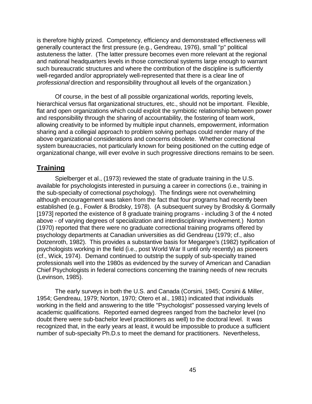is therefore highly prized. Competency, efficiency and demonstrated effectiveness will generally counteract the first pressure (e.g., Gendreau, 1976), small "p" political astuteness the latter. (The latter pressure becomes even more relevant at the regional and national headquarters levels in those correctional systems large enough to warrant such bureaucratic structures and where the contribution of the discipline is sufficiently well-regarded and/or appropriately well-represented that there is a clear line of professional direction and responsibility throughout all levels of the organization.)

Of course, in the best of all possible organizational worlds, reporting levels, hierarchical versus flat organizational structures, etc., should not be important. Flexible, flat and open organizations which could exploit the symbiotic relationship between power and responsibility through the sharing of accountability, the fostering of team work, allowing creativity to be informed by multiple input channels, empowerment, information sharing and a collegial approach to problem solving perhaps could render many of the above organizational considerations and concerns obsolete. Whether correctional system bureaucracies, not particularly known for being positioned on the cutting edge of organizational change, will ever evolve in such progressive directions remains to be seen.

## **Training**

Spielberger et al., (1973) reviewed the state of graduate training in the U.S. available for psychologists interested in pursuing a career in corrections (i.e., training in the sub-specialty of correctional psychology). The findings were not overwhelming although encouragement was taken from the fact that four programs had recently been established (e.g., Fowler & Brodsky, 1978). (A subsequent survey by Brodsky & Gormally [1973] reported the existence of 8 graduate training programs - including 3 of the 4 noted above - of varying degrees of specialization and interdisciplinary involvement.) Norton (1970) reported that there were no graduate correctional training programs offered by psychology departments at Canadian universities as did Gendreau (1979; cf., also Dotzenroth, 1982). This provides a substantive basis for Megargee's (1982) typification of psychologists working in the field (i.e., post World War II until only recently) as pioneers (cf., Wick, 1974). Demand continued to outstrip the supply of sub-specialty trained professionals well into the 1980s as evidenced by the survey of American and Canadian Chief Psychologists in federal corrections concerning the training needs of new recruits (Levinson, 1985).

The early surveys in both the U.S. and Canada (Corsini, 1945; Corsini & Miller, 1954; Gendreau, 1979; Norton, 1970; Otero et al., 1981) indicated that individuals working in the field and answering to the title "Psychologist" possessed varying levels of academic qualifications. Reported earned degrees ranged from the bachelor level (no doubt there were sub-bachelor level practitioners as well) to the doctoral level. It was recognized that, in the early years at least, it would be impossible to produce a sufficient number of sub-specialty Ph.D.s to meet the demand for practitioners. Nevertheless,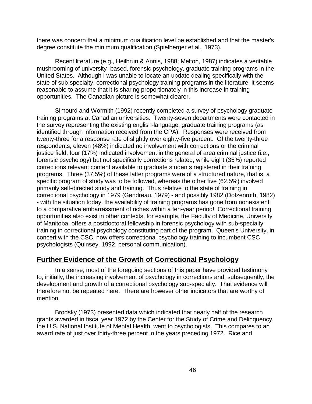there was concern that a minimum qualification level be established and that the master's degree constitute the minimum qualification (Spielberger et al., 1973).

Recent literature (e.g., Heilbrun & Annis, 1988; Melton, 1987) indicates a veritable mushrooming of university- based, forensic psychology, graduate training programs in the United States. Although I was unable to locate an update dealing specifically with the state of sub-specialty, correctional psychology training programs in the literature, it seems reasonable to assume that it is sharing proportionately in this increase in training opportunities. The Canadian picture is somewhat clearer.

Simourd and Wormith (1992) recently completed a survey of psychology graduate training programs at Canadian universities. Twenty-seven departments were contacted in the survey representing the existing english-language, graduate training programs (as identified through information received from the CPA). Responses were received from twenty-three for a response rate of slightly over eighty-five percent. Of the twenty-three respondents, eleven (48%) indicated no involvement with corrections or the criminal justice field, four (17%) indicated involvement in the general of area criminal justice (i.e., forensic psychology) but not specifically corrections related, while eight (35%) reported corrections relevant content available to graduate students registered in their training programs. Three (37.5%) of these latter programs were of a structured nature, that is, a specific program of study was to be followed, whereas the other five (62.5%) involved primarily self-directed study and training. Thus relative to the state of training in correctional psychology in 1979 (Gendreau, 1979) - and possibly 1982 (Dotzenroth, 1982) - with the situation today, the availability of training programs has gone from nonexistent to a comparative embarrassment of riches within a ten-year period! Correctional training opportunities also exist in other contexts, for example, the Faculty of Medicine, University of Manitoba, offers a postdoctoral fellowship in forensic psychology with sub-specialty training in correctional psychology constituting part of the program. Queen's University, in concert with the CSC, now offers correctional psychology training to incumbent CSC psychologists (Quinsey, 1992, personal communication).

### **Further Evidence of the Growth of Correctional Psychology**

In a sense, most of the foregoing sections of this paper have provided testimony to, initially, the increasing involvement of psychology in corrections and, subsequently, the development and growth of a correctional psychology sub-specialty. That evidence will therefore not be repeated here. There are however other indicators that are worthy of mention.

Brodsky (1973) presented data which indicated that nearly half of the research grants awarded in fiscal year 1972 by the Center for the Study of Crime and Delinquency, the U.S. National Institute of Mental Health, went to psychologists. This compares to an award rate of just over thirty-three percent in the years preceding 1972. Rice and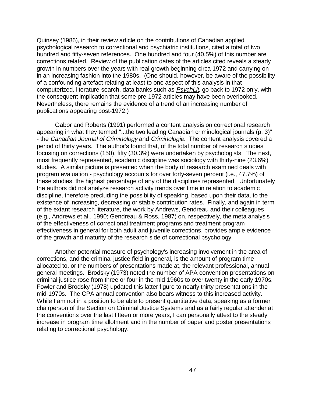Quinsey (1986), in their review article on the contributions of Canadian applied psychological research to correctional and psychiatric institutions, cited a total of two hundred and fifty-seven references. One hundred and four (40.5%) of this number are corrections related. Review of the publication dates of the articles cited reveals a steady growth in numbers over the years with real growth beginning circa 1972 and carrying on in an increasing fashion into the 1980s. (One should, however, be aware of the possibility of a confounding artefact relating at least to one aspect of this analysis in that computerized, literature-search, data banks such as PsychLit, go back to 1972 only, with the consequent implication that some pre-1972 articles may have been overlooked. Nevertheless, there remains the evidence of a trend of an increasing number of publications appearing post-1972.)

Gabor and Roberts (1991) performed a content analysis on correctional research appearing in what they termed "...the two leading Canadian criminological journals (p. 3)" - the Canadian Journal of Criminology and Criminologie. The content analysis covered a period of thirty years. The author's found that, of the total number of research studies focusing on corrections (150), fifty (30.3%) were undertaken by psychologists. The next, most frequently represented, academic discipline was sociology with thirty-nine (23.6%) studies. A similar picture is presented when the body of research examined deals with program evaluation - psychology accounts for over forty-seven percent (i.e., 47.7%) of these studies, the highest percentage of any of the disciplines represented. Unfortunately the authors did not analyze research activity trends over time in relation to academic discipline, therefore precluding the possibility of speaking, based upon their data, to the existence of increasing, decreasing or stable contribution rates. Finally, and again in term of the extant research literature, the work by Andrews, Gendreau and their colleagues (e.g., Andrews et al., 1990; Gendreau & Ross, 1987) on, respectively, the meta analysis of the effectiveness of correctional treatment programs and treatment program effectiveness in general for both adult and juvenile corrections, provides ample evidence of the growth and maturity of the research side of correctional psychology.

Another potential measure of psychology's increasing involvement in the area of corrections, and the criminal justice field in general, is the amount of program time allocated to, or the numbers of presentations made at, the relevant professional, annual general meetings. Brodsky (1973) noted the number of APA convention presentations on criminal justice rose from three or four in the mid-1960s to over twenty in the early 1970s. Fowler and Brodsky (1978) updated this latter figure to nearly thirty presentations in the mid-1970s. The CPA annual convention also bears witness to this increased activity. While I am not in a position to be able to present quantitative data, speaking as a former chairperson of the Section on Criminal Justice Systems and as a fairly regular attender at the conventions over the last fifteen or more years, I can personally attest to the steady increase in program time allotment and in the number of paper and poster presentations relating to correctional psychology.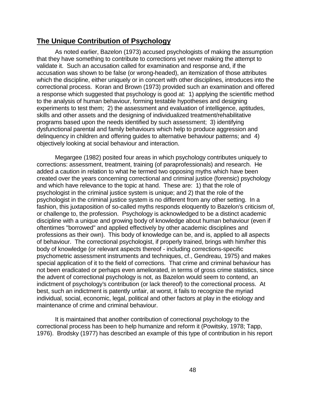### **The Unique Contribution of Psychology**

As noted earlier, Bazelon (1973) accused psychologists of making the assumption that they have something to contribute to corrections yet never making the attempt to validate it. Such an accusation called for examination and response and, if the accusation was shown to be false (or wrong-headed), an itemization of those attributes which the discipline, either uniquely or in concert with other disciplines, introduces into the correctional process. Koran and Brown (1973) provided such an examination and offered a response which suggested that psychology is good at: 1) applying the scientific method to the analysis of human behaviour, forming testable hypotheses and designing experiments to test them; 2) the assessment and evaluation of intelligence, aptitudes, skills and other assets and the designing of individualized treatment/rehabilitative programs based upon the needs identified by such assessment; 3) identifying dysfunctional parental and family behaviours which help to produce aggression and delinquency in children and offering guides to alternative behaviour patterns; and 4) objectively looking at social behaviour and interaction.

Megargee (1982) posited four areas in which psychology contributes uniquely to corrections: assessment, treatment, training (of paraprofessionals) and research. He added a caution in relation to what he termed two opposing myths which have been created over the years concerning correctional and criminal justice (forensic) psychology and which have relevance to the topic at hand. These are: 1) that the role of psychologist in the criminal justice system is unique; and 2) that the role of the psychologist in the criminal justice system is no different from any other setting. In a fashion, this juxtaposition of so-called myths responds eloquently to Bazelon's criticism of, or challenge to, the profession. Psychology is acknowledged to be a distinct academic discipline with a unique and growing body of knowledge about human behaviour (even if oftentimes "borrowed" and applied effectively by other academic disciplines and professions as their own). This body of knowledge can be, and is, applied to all aspects of behaviour. The correctional psychologist, if properly trained, brings with him/her this body of knowledge (or relevant aspects thereof - including corrections-specific psychometric assessment instruments and techniques, cf., Gendreau, 1975) and makes special application of it to the field of corrections. That crime and criminal behaviour has not been eradicated or perhaps even ameliorated, in terms of gross crime statistics, since the advent of correctional psychology is not, as Bazelon would seem to contend, an indictment of psychology's contribution (or lack thereof) to the correctional process. At best, such an indictment is patently unfair, at worst, it fails to recognize the myriad individual, social, economic, legal, political and other factors at play in the etiology and maintenance of crime and criminal behaviour.

It is maintained that another contribution of correctional psychology to the correctional process has been to help humanize and reform it (Powitsky, 1978; Tapp, 1976). Brodsky (1977) has described an example of this type of contribution in his report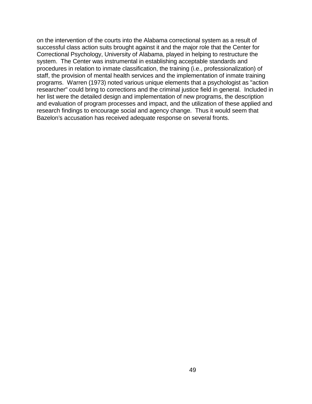on the intervention of the courts into the Alabama correctional system as a result of successful class action suits brought against it and the major role that the Center for Correctional Psychology, University of Alabama, played in helping to restructure the system. The Center was instrumental in establishing acceptable standards and procedures in relation to inmate classification, the training (i.e., professionalization) of staff, the provision of mental health services and the implementation of inmate training programs. Warren (1973) noted various unique elements that a psychologist as "action researcher" could bring to corrections and the criminal justice field in general. Included in her list were the detailed design and implementation of new programs, the description and evaluation of program processes and impact, and the utilization of these applied and research findings to encourage social and agency change. Thus it would seem that Bazelon's accusation has received adequate response on several fronts.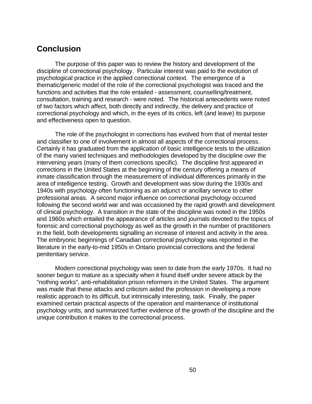## **Conclusion**

The purpose of this paper was to review the history and development of the discipline of correctional psychology. Particular interest was paid to the evolution of psychological practice in the applied correctional context. The emergence of a thematic/generic model of the role of the correctional psychologist was traced and the functions and activities that the role entailed - assessment, counselling/treatment, consultation, training and research - were noted. The historical antecedents were noted of two factors which affect, both directly and indirectly, the delivery and practice of correctional psychology and which, in the eyes of its critics, left (and leave) its purpose and effectiveness open to question.

The role of the psychologist in corrections has evolved from that of mental tester and classifier to one of involvement in almost all aspects of the correctional process. Certainly it has graduated from the application of basic intelligence tests to the utilization of the many varied techniques and methodologies developed by the discipline over the intervening years (many of them corrections specific). The discipline first appeared in corrections in the United States at the beginning of the century offering a means of inmate classification through the measurement of individual differences primarily in the area of intelligence testing. Growth and development was slow during the 1930s and 1940s with psychology often functioning as an adjunct or ancillary service to other professional areas. A second major influence on correctional psychology occurred following the second world war and was occasioned by the rapid growth and development of clinical psychology. A transition in the state of the discipline was noted in the 1950s and 1960s which entailed the appearance of articles and journals devoted to the topics of forensic and correctional psychology as well as the growth in the number of practitioners in the field, both developments signalling an increase of interest and activity in the area. The embryonic beginnings of Canadian correctional psychology was reported in the literature in the early-to-mid 1950s in Ontario provincial corrections and the federal penitentiary service.

Modern correctional psychology was seen to date from the early 1970s. It had no sooner begun to mature as a specialty when it found itself under severe attack by the "nothing works", anti-rehabilitation prison reformers in the United States. The argument was made that these attacks and criticism aided the profession in developing a more realistic approach to its difficult, but intrinsically interesting, task. Finally, the paper examined certain practical aspects of the operation and maintenance of institutional psychology units, and summarized further evidence of the growth of the discipline and the unique contribution it makes to the correctional process.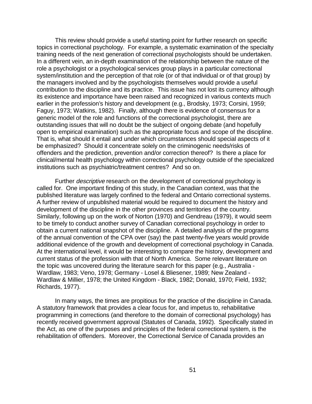This review should provide a useful starting point for further research on specific topics in correctional psychology. For example, a systematic examination of the specialty training needs of the next generation of correctional psychologists should be undertaken. In a different vein, an in-depth examination of the relationship between the nature of the role a psychologist or a psychological services group plays in a particular correctional system/institution and the perception of that role (or of that individual or of that group) by the managers involved and by the psychologists themselves would provide a useful contribution to the discipline and its practice. This issue has not lost its currency although its existence and importance have been raised and recognized in various contexts much earlier in the profession's history and development (e.g., Brodsky, 1973; Corsini, 1959; Faguy, 1973; Watkins, 1982). Finally, although there is evidence of consensus for a generic model of the role and functions of the correctional psychologist, there are outstanding issues that will no doubt be the subject of ongoing debate (and hopefully open to empirical examination) such as the appropriate focus and scope of the discipline. That is, what should it entail and under which circumstances should special aspects of it be emphasized? Should it concentrate solely on the criminogenic needs/risks of offenders and the prediction, prevention and/or correction thereof? Is there a place for clinical/mental health psychology within correctional psychology outside of the specialized institutions such as psychiatric/treatment centres? And so on.

Further descriptive research on the development of correctional psychology is called for. One important finding of this study, in the Canadian context, was that the published literature was largely confined to the federal and Ontario correctional systems. A further review of unpublished material would be required to document the history and development of the discipline in the other provinces and territories of the country. Similarly, following up on the work of Norton (1970) and Gendreau (1979), it would seem to be timely to conduct another survey of Canadian correctional psychology in order to obtain a current national snapshot of the discipline. A detailed analysis of the programs of the annual convention of the CPA over (say) the past twenty-five years would provide additional evidence of the growth and development of correctional psychology in Canada. At the international level, it would be interesting to compare the history, development and current status of the profession with that of North America. Some relevant literature on the topic was uncovered during the literature search for this paper (e.g., Australia - Wardlaw, 1983; Veno, 1978; Germany - Losel & Bliesener, 1989; New Zealand - Wardlaw & Millier, 1978; the United Kingdom - Black, 1982; Donald, 1970; Field, 1932; Richards, 1977).

In many ways, the times are propitious for the practice of the discipline in Canada. A statutory framework that provides a clear focus for, and impetus to, rehabilitative programming in corrections (and therefore to the domain of correctional psychology) has recently received government approval (Statutes of Canada, 1992). Specifically stated in the Act, as one of the purposes and principles of the federal correctional system, is the rehabilitation of offenders. Moreover, the Correctional Service of Canada provides an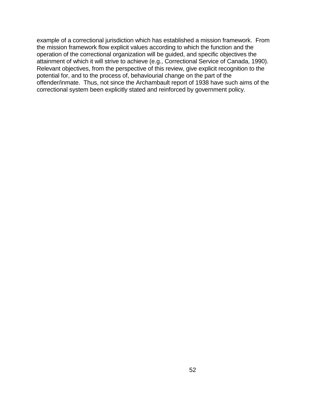example of a correctional jurisdiction which has established a mission framework. From the mission framework flow explicit values according to which the function and the operation of the correctional organization will be guided, and specific objectives the attainment of which it will strive to achieve (e.g., Correctional Service of Canada, 1990). Relevant objectives, from the perspective of this review, give explicit recognition to the potential for, and to the process of, behaviourial change on the part of the offender/inmate. Thus, not since the Archambault report of 1938 have such aims of the correctional system been explicitly stated and reinforced by government policy.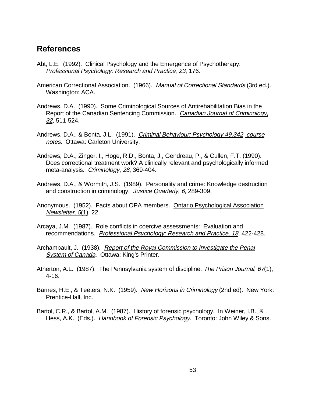### **References**

- Abt, L.E. (1992). Clinical Psychology and the Emergence of Psychotherapy. Professional Psychology: Research and Practice, 23, 176.
- American Correctional Association. (1966). Manual of Correctional Standards (3rd ed.). Washington: ACA.
- Andrews, D.A. (1990). Some Criminological Sources of Antirehabilitation Bias in the Report of the Canadian Sentencing Commission. Canadian Journal of Criminology, 32, 511-524.
- Andrews, D.A., & Bonta, J.L. (1991). Criminal Behaviour: Psychology 49.342 course notes. Ottawa: Carleton University.
- Andrews, D.A., Zinger, I., Hoge, R.D., Bonta, J., Gendreau, P., & Cullen, F.T. (1990). Does correctional treatment work? A clinically relevant and psychologically informed meta-analysis. Criminology, 28, 369-404.
- Andrews, D.A., & Wormith, J.S. (1989). Personality and crime: Knowledge destruction and construction in criminology. Justice Quarterly, 6, 289-309.
- Anonymous. (1952). Facts about OPA members. Ontario Psychological Association Newsletter, 5(1), 22.
- Arcaya, J.M. (1987). Role conflicts in coercive assessments: Evaluation and recommendations. Professional Psychology: Research and Practice, 18, 422-428.
- Archambault, J. (1938). Report of the Royal Commission to Investigate the Penal System of Canada. Ottawa: King's Printer.
- Atherton, A.L. (1987). The Pennsylvania system of discipline. The Prison Journal, 67(1), 4-16.
- Barnes, H.E., & Teeters, N.K. (1959). New Horizons in Criminology (2nd ed). New York: Prentice-Hall, Inc.
- Bartol, C.R., & Bartol, A.M. (1987). History of forensic psychology. In Weiner, I.B., & Hess, A.K., (Eds.). Handbook of Forensic Psychology. Toronto: John Wiley & Sons.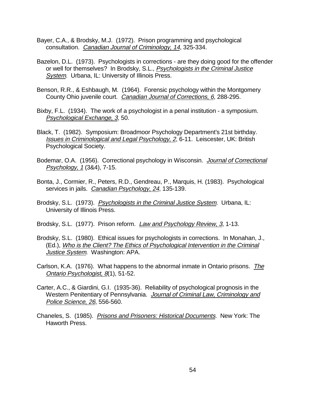- Bayer, C.A., & Brodsky, M.J. (1972). Prison programming and psychological consultation. Canadian Journal of Criminology, 14, 325-334.
- Bazelon, D.L. (1973). Psychologists in corrections are they doing good for the offender or well for themselves? In Brodsky, S.L., Psychologists in the Criminal Justice System. Urbana, IL: University of Illinois Press.
- Benson, R.R., & Eshbaugh, M. (1964). Forensic psychology within the Montgomery County Ohio juvenile court. Canadian Journal of Corrections, 6, 288-295.
- Bixby, F.L. (1934). The work of a psychologist in a penal institution a symposium. Psychological Exchange, 3, 50.
- Black, T. (1982). Symposium: Broadmoor Psychology Department's 21st birthday. Issues in Criminological and Legal Psychology, 2, 6-11. Leiscester, UK: British Psychological Society.
- Bodemar, O.A. (1956). Correctional psychology in Wisconsin. Journal of Correctional Psychology, 1 (3&4), 7-15.
- Bonta, J., Cormier, R., Peters, R.D., Gendreau, P., Marquis, H. (1983). Psychological services in jails. Canadian Psychology, 24, 135-139.
- Brodsky, S.L. (1973). Psychologists in the Criminal Justice System. Urbana, IL: University of Illinois Press.
- Brodsky, S.L. (1977). Prison reform. *Law and Psychology Review, 3,* 1-13.
- Brodsky, S.L. (1980). Ethical issues for psychologists in corrections. In Monahan, J., (Ed.), Who is the Client? The Ethics of Psychological Intervention in the Criminal Justice System. Washington: APA.
- Carlson, K.A. (1976). What happens to the abnormal inmate in Ontario prisons. The Ontario Psychologist, 8(1), 51-52.
- Carter, A.C., & Giardini, G.I. (1935-36). Reliability of psychological prognosis in the Western Penitentiary of Pennsylvania. Journal of Criminal Law, Criminology and Police Science, 26, 556-560.
- Chaneles, S. (1985). Prisons and Prisoners: Historical Documents. New York: The Haworth Press.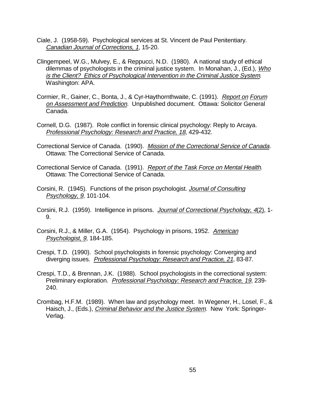- Ciale, J. (1958-59). Psychological services at St. Vincent de Paul Penitentiary. Canadian Journal of Corrections, 1, 15-20.
- Clingempeel, W.G., Mulvey, E., & Reppucci, N.D. (1980). A national study of ethical dilemmas of psychologists in the criminal justice system. In Monahan, J., (Ed.), Who is the Client? Ethics of Psychological Intervention in the Criminal Justice System. Washington: APA.
- Cormier, R., Gainer, C., Bonta, J., & Cyr-Haythornthwaite, C. (1991). Report on Forum on Assessment and Prediction. Unpublished document. Ottawa: Solicitor General Canada.
- Cornell, D.G. (1987). Role conflict in forensic clinical psychology: Reply to Arcaya. Professional Psychology: Research and Practice, 18, 429-432.
- Correctional Service of Canada. (1990). Mission of the Correctional Service of Canada. Ottawa: The Correctional Service of Canada.
- Correctional Service of Canada. (1991). Report of the Task Force on Mental Health. Ottawa: The Correctional Service of Canada.
- Corsini, R. (1945). Functions of the prison psychologist. Journal of Consulting Psychology, 9, 101-104.
- Corsini, R.J. (1959). Intelligence in prisons. Journal of Correctional Psychology, 4(2), 1- 9.
- Corsini, R.J., & Miller, G.A. (1954). Psychology in prisons, 1952. American Psychologist, 9, 184-185.
- Crespi, T.D. (1990). School psychologists in forensic psychology: Converging and diverging issues. Professional Psychology: Research and Practice, 21, 83-87.
- Crespi, T.D., & Brennan, J.K. (1988). School psychologists in the correctional system: Preliminary exploration. Professional Psychology: Research and Practice, 19, 239- 240.
- Crombag, H.F.M. (1989). When law and psychology meet. In Wegener, H., Losel, F., & Haisch, J., (Eds.), Criminal Behavior and the Justice System. New York: Springer-Verlag.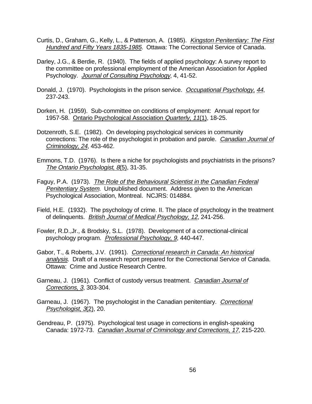- Curtis, D., Graham, G., Kelly, L., & Patterson, A. (1985). Kingston Penitentiary: The First Hundred and Fifty Years 1835-1985. Ottawa: The Correctional Service of Canada.
- Darley, J.G., & Berdie, R. (1940). The fields of applied psychology: A survey report to the committee on professional employment of the American Association for Applied Psychology. Journal of Consulting Psychology, 4, 41-52.
- Donald, J. (1970). Psychologists in the prison service. Occupational Psychology, 44, 237-243.
- Dorken, H. (1959). Sub-committee on conditions of employment: Annual report for 1957-58. Ontario Psychological Association Quarterly, 11(1), 18-25.
- Dotzenroth, S.E. (1982). On developing psychological services in community corrections: The role of the psychologist in probation and parole. Canadian Journal of Criminology, 24, 453-462.
- Emmons, T.D. (1976). Is there a niche for psychologists and psychiatrists in the prisons? The Ontario Psychologist, 8(5), 31-35.
- Faguy, P.A. (1973). The Role of the Behavioural Scientist in the Canadian Federal Penitentiary System. Unpublished document. Address given to the American Psychological Association, Montreal. NCJRS: 014884.
- Field, H.E. (1932). The psychology of crime. II. The place of psychology in the treatment of delinquents. British Journal of Medical Psychology, 12, 241-256.
- Fowler, R.D.,Jr., & Brodsky, S.L. (1978). Development of a correctional-clinical psychology program. Professional Psychology, 9, 440-447.
- Gabor, T., & Roberts, J.V. (1991). Correctional research in Canada: An historical analysis. Draft of a research report prepared for the Correctional Service of Canada. Ottawa: Crime and Justice Research Centre.
- Garneau, J. (1961). Conflict of custody versus treatment. Canadian Journal of Corrections, 3, 303-304.
- Garneau, J. (1967). The psychologist in the Canadian penitentiary. Correctional Psychologist, 3(2), 20.
- Gendreau, P. (1975). Psychological test usage in corrections in english-speaking Canada: 1972-73. Canadian Journal of Criminology and Corrections, 17, 215-220.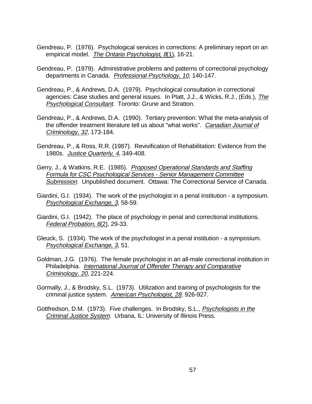- Gendreau, P. (1976). Psychological services in corrections: A preliminary report on an empirical model. The Ontario Psychologist, 8(1), 16-21.
- Gendreau, P. (1979). Administrative problems and patterns of correctional psychology departments in Canada. Professional Psychology, 10, 140-147.
- Gendreau, P., & Andrews, D.A. (1979). Psychological consultation in correctional agencies: Case studies and general issues. In Platt, J.J., & Wicks, R.J., (Eds.), The Psychological Consultant. Toronto: Grune and Stratton.
- Gendreau, P., & Andrews, D.A. (1990). Tertiary prevention: What the meta-analysis of the offender treatment literature tell us about "what works". Canadian Journal of Criminology, 32, 173-184.
- Gendreau, P., & Ross, R.R. (1987). Revivification of Rehabilitation: Evidence from the 1980s. Justice Quarterly, 4, 349-408.
- Gerry, J., & Watkins, R.E. (1985). Proposed Operational Standards and Staffing Formula for CSC Psychological Services - Senior Management Committee Submission. Unpublished document. Ottawa: The Correctional Service of Canada.
- Giardini, G.I. (1934). The work of the psychologist in a penal institution a symposium. Psychological Exchange, 3, 58-59.
- Giardini, G.I. (1942). The place of psychology in penal and correctional institutions. Federal Probation, 6(2), 29-33.
- Gleuck, S. (1934). The work of the psychologist in a penal institution a symposium. Psychological Exchange, 3, 51.
- Goldman, J.G. (1976). The female psychologist in an all-male correctional institution in Philadelphia. International Journal of Offender Therapy and Comparative Criminology, 20, 221-224.
- Gormally, J., & Brodsky, S.L. (1973). Utilization and training of psychologists for the criminal justice system. American Psychologist, 28, 926-927.
- Gottfredson, D.M. (1973). Five challenges. In Brodsky, S.L., Psychologists in the Criminal Justice System. Urbana, IL: University of Illinois Press.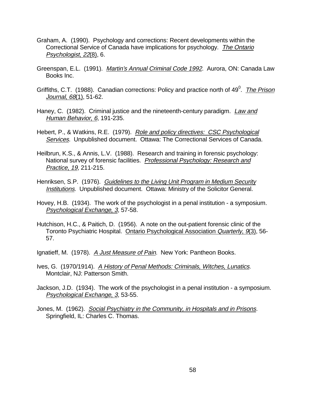- Graham, A. (1990). Psychology and corrections: Recent developments within the Correctional Service of Canada have implications for psychology. The Ontario Psychologist, 22(8), 6.
- Greenspan, E.L. (1991). Martin's Annual Criminal Code 1992. Aurora, ON: Canada Law Books Inc.
- Griffiths, C.T. (1988). Canadian corrections: Policy and practice north of 49<sup>0</sup>. The Prison Journal, 68(1), 51-62.
- Haney, C. (1982). Criminal justice and the nineteenth-century paradigm. Law and Human Behavior, 6, 191-235.
- Hebert, P., & Watkins, R.E. (1979). Role and policy directives: CSC Psychological Services. Unpublished document. Ottawa: The Correctional Services of Canada.
- Heilbrun, K.S., & Annis, L.V. (1988). Research and training in forensic psychology: National survey of forensic facilities. Professional Psychology: Research and Practice, 19, 211-215.
- Henriksen, S.P. (1976). Guidelines to the Living Unit Program in Medium Security Institutions. Unpublished document. Ottawa: Ministry of the Solicitor General.
- Hovey, H.B. (1934). The work of the psychologist in a penal institution a symposium. Psychological Exchange, 3, 57-58.
- Hutchison, H.C., & Paitich, D. (1956). A note on the out-patient forensic clinic of the Toronto Psychiatric Hospital. Ontario Psychological Association Quarterly, 9(3), 56-57.
- Ignatieff, M. (1978). A Just Measure of Pain. New York: Pantheon Books.
- Ives, G. (1970/1914). A History of Penal Methods: Criminals, Witches, Lunatics. Montclair, NJ: Patterson Smith.
- Jackson, J.D. (1934). The work of the psychologist in a penal institution a symposium. Psychological Exchange, 3, 53-55.
- Jones, M. (1962). Social Psychiatry in the Community, in Hospitals and in Prisons. Springfield, IL: Charles C. Thomas.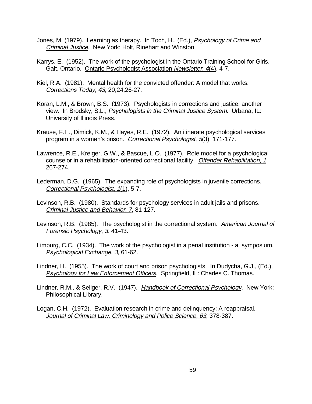- Jones, M. (1979). Learning as therapy. In Toch, H., (Ed.), Psychology of Crime and Criminal Justice. New York: Holt, Rinehart and Winston.
- Karrys, E. (1952). The work of the psychologist in the Ontario Training School for Girls, Galt, Ontario. Ontario Psychologist Association Newsletter, 4(4), 4-7.
- Kiel, R.A. (1981). Mental health for the convicted offender: A model that works. Corrections Today, 43, 20,24,26-27.
- Koran, L.M., & Brown, B.S. (1973). Psychologists in corrections and justice: another view. In Brodsky, S.L., Psychologists in the Criminal Justice System. Urbana, IL: University of Illinois Press.
- Krause, F.H., Dimick, K.M., & Hayes, R.E. (1972). An itinerate psychological services program in a women's prison. Correctional Psychologist, 5(3), 171-177.
- Lawrence, R.E., Kreiger, G.W., & Bascue, L.O. (1977). Role model for a psychological counselor in a rehabilitation-oriented correctional facility. Offender Rehabilitation, 1, 267-274.
- Lederman, D.G. (1965). The expanding role of psychologists in juvenile corrections. Correctional Psychologist, 1(1), 5-7.
- Levinson, R.B. (1980). Standards for psychology services in adult jails and prisons. Criminal Justice and Behavior, 7, 81-127.
- Levinson, R.B. (1985). The psychologist in the correctional system. American Journal of Forensic Psychology, 3. 41-43.
- Limburg, C.C. (1934). The work of the psychologist in a penal institution a symposium. Psychological Exchange, 3, 61-62.
- Lindner, H. (1955). The work of court and prison psychologists. In Dudycha, G.J., (Ed.), Psychology for Law Enforcement Officers. Springfield, IL: Charles C. Thomas.
- Lindner, R.M., & Seliger, R.V. (1947). Handbook of Correctional Psychology. New York: Philosophical Library.
- Logan, C.H. (1972). Evaluation research in crime and delinquency: A reappraisal. Journal of Criminal Law, Criminology and Police Science, 63, 378-387.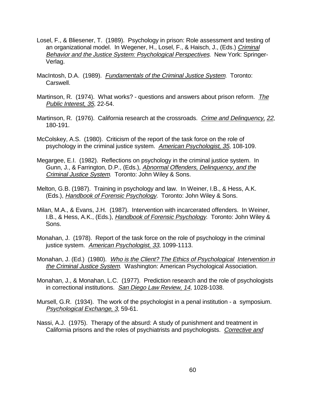- Losel, F., & Bliesener, T. (1989). Psychology in prison: Role assessment and testing of an organizational model. In Wegener, H., Losel, F., & Haisch, J., (Eds.) Criminal Behavior and the Justice System: Psychological Perspectives. New York: Springer-Verlag.
- MacIntosh, D.A. (1989). Fundamentals of the Criminal Justice System. Toronto: Carswell.
- Martinson, R. (1974). What works? questions and answers about prison reform. The Public Interest, 35, 22-54.
- Martinson, R. (1976). California research at the crossroads. Crime and Delinquency, 22, 180-191.
- McColskey, A.S. (1980). Criticism of the report of the task force on the role of psychology in the criminal justice system. American Psychologist, 35, 108-109.
- Megargee, E.I. (1982). Reflections on psychology in the criminal justice system. In Gunn, J., & Farrington, D.P., (Eds.), Abnormal Offenders, Delinquency, and the Criminal Justice System. Toronto: John Wiley & Sons.
- Melton, G.B. (1987). Training in psychology and law. In Weiner, I.B., & Hess, A.K. (Eds.), Handbook of Forensic Psychology. Toronto: John Wiley & Sons.
- Milan, M.A., & Evans, J.H. (1987). Intervention with incarcerated offenders. In Weiner, I.B., & Hess, A.K., (Eds.), Handbook of Forensic Psychology. Toronto: John Wiley & Sons.
- Monahan, J. (1978). Report of the task force on the role of psychology in the criminal justice system. American Psychologist, 33, 1099-1113.
- Monahan, J. (Ed.) (1980). Who is the Client? The Ethics of Psychological Intervention in the Criminal Justice System. Washington: American Psychological Association.
- Monahan, J., & Monahan, L.C. (1977). Prediction research and the role of psychologists in correctional institutions. San Diego Law Review, 14, 1028-1038.
- Mursell, G.R. (1934). The work of the psychologist in a penal institution a symposium. Psychological Exchange, 3, 59-61.
- Nassi, A.J. (1975). Therapy of the absurd: A study of punishment and treatment in California prisons and the roles of psychiatrists and psychologists. Corrective and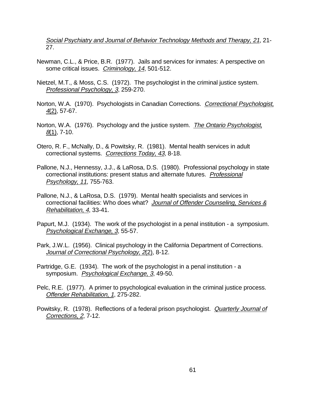Social Psychiatry and Journal of Behavior Technology Methods and Therapy, 21, 21-27.

- Newman, C.L., & Price, B.R. (1977). Jails and services for inmates: A perspective on some critical issues. Criminology, 14, 501-512.
- Nietzel, M.T., & Moss, C.S. (1972). The psychologist in the criminal justice system. Professional Psychology, 3, 259-270.
- Norton, W.A. (1970). Psychologists in Canadian Corrections. Correctional Psychologist, 4(2), 57-67.
- Norton, W.A. (1976). Psychology and the justice system. The Ontario Psychologist,  $8(1)$ , 7-10.
- Otero, R. F., McNally, D., & Powitsky, R. (1981). Mental health services in adult correctional systems. Corrections Today, 43, 8-18.
- Pallone, N.J., Hennessy, J.J., & LaRosa, D.S. (1980). Professional psychology in state correctional institutions: present status and alternate futures. Professional Psychology, 11, 755-763.
- Pallone, N.J., & LaRosa, D.S. (1979). Mental health specialists and services in correctional facilities: Who does what? Journal of Offender Counseling, Services & Rehabilitation, 4, 33-41.
- Papurt, M.J. (1934). The work of the psychologist in a penal institution a symposium. Psychological Exchange, 3, 55-57.
- Park, J.W.L. (1956). Clinical psychology in the California Department of Corrections. Journal of Correctional Psychology, 2(2), 8-12.
- Partridge, G.E. (1934). The work of the psychologist in a penal institution a symposium. Psychological Exchange, 3, 49-50.
- Pelc, R.E. (1977). A primer to psychological evaluation in the criminal justice process. Offender Rehabilitation, 1, 275-282.
- Powitsky, R. (1978). Reflections of a federal prison psychologist. Quarterly Journal of Corrections, 2, 7-12.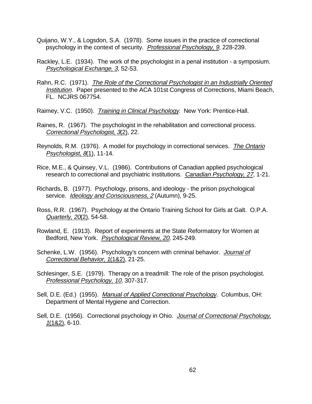- Quijano, W.Y., & Logsdon, S.A. (1978). Some issues in the practice of correctional psychology in the context of security. Professional Psychology, 9, 228-239.
- Rackley, L.E. (1934). The work of the psychologist in a penal institution a symposium. Psychological Exchange, 3, 52-53.
- Rahn, R.C. (1971). The Role of the Correctional Psychologist in an Industrially Oriented Institution. Paper presented to the ACA 101st Congress of Corrections, Miami Beach, FL. NCJRS 067754.
- Raimey, V.C. (1950). Training in Clinical Psychology. New York: Prentice-Hall.
- Raines, R. (1967). The psychologist in the rehabilitation and correctional process. Correctional Psychologist, 3(2), 22.
- Reynolds, R.M. (1976). A model for psychology in correctional services. The Ontario Psychologist, 8(1), 11-14.
- Rice, M.E., & Quinsey, V.L. (1986). Contributions of Canadian applied psychological research to correctional and psychiatric institutions. Canadian Psychology, 27, 1-21.
- Richards, B. (1977). Psychology, prisons, and ideology the prison psychological service. Ideology and Consciousness, 2 (Autumn), 9-25.
- Ross, R.R. (1967). Psychology at the Ontario Training School for Girls at Galt. O.P.A. Quarterly, 20(2), 54-58.
- Rowland, E. (1913). Report of experiments at the State Reformatory for Women at Bedford, New York. Psychological Review, 20, 245-249.
- Schenke, L.W. (1956). Psychology's concern with criminal behavior. Journal of Correctional Behavior, 1(1&2), 21-25.
- Schlesinger, S.E. (1979). Therapy on a treadmill: The role of the prison psychologist. Professional Psychology, 10, 307-317.
- Sell, D.E. (Ed.) (1955). Manual of Applied Correctional Psychology. Columbus, OH: Department of Mental Hygiene and Correction.
- Sell, D.E. (1956). Correctional psychology in Ohio. Journal of Correctional Psychology, 1(1&2), 6-10.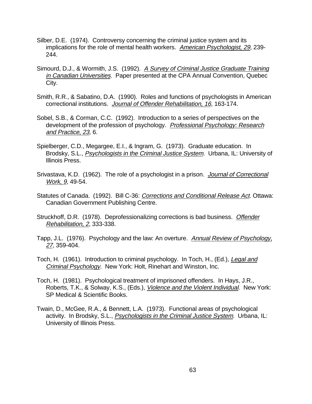- Silber, D.E. (1974). Controversy concerning the criminal justice system and its implications for the role of mental health workers. American Psychologist, 29, 239- 244.
- Simourd, D.J., & Wormith, J.S. (1992). A Survey of Criminal Justice Graduate Training in Canadian Universities. Paper presented at the CPA Annual Convention, Quebec City.
- Smith, R.R., & Sabatino, D.A. (1990). Roles and functions of psychologists in American correctional institutions. Journal of Offender Rehabilitation, 16, 163-174.
- Sobel, S.B., & Corman, C.C. (1992). Introduction to a series of perspectives on the development of the profession of psychology. Professional Psychology: Research and Practice, 23, 6.
- Spielberger, C.D., Megargee, E.I., & Ingram, G. (1973). Graduate education. In Brodsky, S.L., Psychologists in the Criminal Justice System. Urbana, IL: University of Illinois Press.
- Srivastava, K.D. (1962). The role of a psychologist in a prison. Journal of Correctional Work, 9, 49-54.
- Statutes of Canada. (1992). Bill C-36: Corrections and Conditional Release Act. Ottawa: Canadian Government Publishing Centre.
- Struckhoff, D.R. (1978). Deprofessionalizing corrections is bad business. Offender Rehabilitation, 2, 333-338.
- Tapp, J.L. (1976). Psychology and the law: An overture. Annual Review of Psychology, 27, 359-404.
- Toch, H. (1961). Introduction to criminal psychology. In Toch, H., (Ed.), Legal and Criminal Psychology. New York: Holt, Rinehart and Winston, Inc.
- Toch, H. (1981). Psychological treatment of imprisoned offenders. In Hays, J.R., Roberts, T.K., & Solway, K.S., (Eds.), Violence and the Violent Individual. New York: SP Medical & Scientific Books.
- Twain, D., McGee, R.A., & Bennett, L.A. (1973). Functional areas of psychological activity. In Brodsky, S.L., Psychologists in the Criminal Justice System. Urbana, IL: University of Illinois Press.